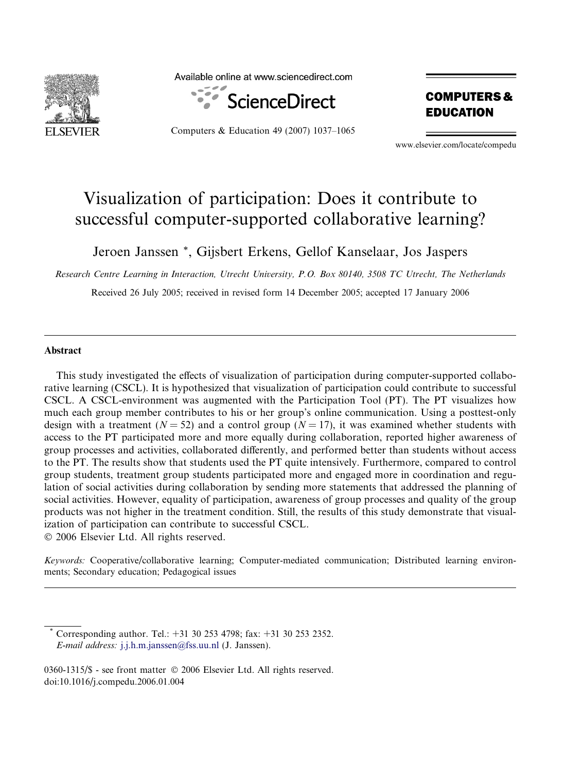

Available online at www.sciencedirect.com



Computers & Education 49 (2007) 1037–1065

**COMPUTERS& EDUCATION** 

www.elsevier.com/locate/compedu

# Visualization of participation: Does it contribute to successful computer-supported collaborative learning?

Jeroen Janssen \*, Gijsbert Erkens, Gellof Kanselaar, Jos Jaspers

Research Centre Learning in Interaction, Utrecht University, P.O. Box 80140, 3508 TC Utrecht, The Netherlands

Received 26 July 2005; received in revised form 14 December 2005; accepted 17 January 2006

## Abstract

This study investigated the effects of visualization of participation during computer-supported collaborative learning (CSCL). It is hypothesized that visualization of participation could contribute to successful CSCL. A CSCL-environment was augmented with the Participation Tool (PT). The PT visualizes how much each group member contributes to his or her group's online communication. Using a posttest-only design with a treatment ( $N = 52$ ) and a control group ( $N = 17$ ), it was examined whether students with access to the PT participated more and more equally during collaboration, reported higher awareness of group processes and activities, collaborated differently, and performed better than students without access to the PT. The results show that students used the PT quite intensively. Furthermore, compared to control group students, treatment group students participated more and engaged more in coordination and regulation of social activities during collaboration by sending more statements that addressed the planning of social activities. However, equality of participation, awareness of group processes and quality of the group products was not higher in the treatment condition. Still, the results of this study demonstrate that visualization of participation can contribute to successful CSCL. © 2006 Elsevier Ltd. All rights reserved.

Keywords: Cooperative/collaborative learning; Computer-mediated communication; Distributed learning environments; Secondary education; Pedagogical issues

Corresponding author. Tel.: +31 30 253 4798; fax: +31 30 253 2352. E-mail address: [j.j.h.m.janssen@fss.uu.nl](mailto:j.j.h.m.janssen@fss.uu.nl) (J. Janssen).

0360-1315/\$ - see front matter © 2006 Elsevier Ltd. All rights reserved. doi:10.1016/j.compedu.2006.01.004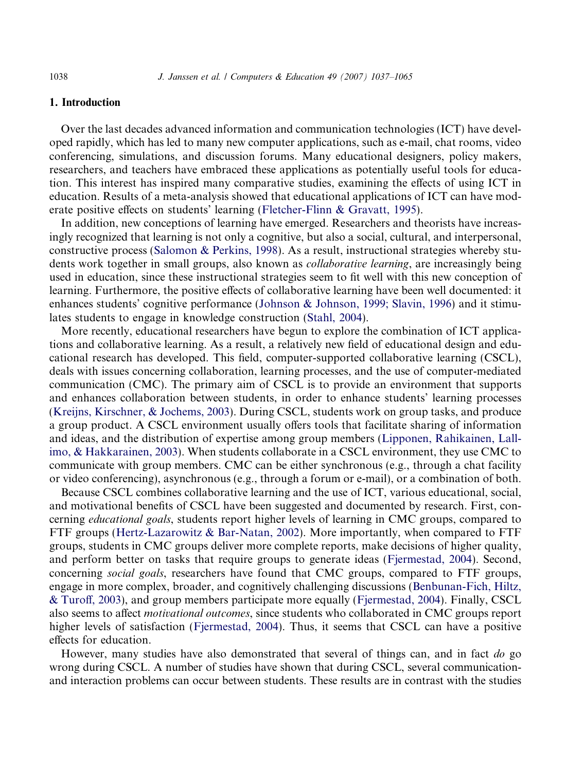# 1. Introduction

Over the last decades advanced information and communication technologies (ICT) have developed rapidly, which has led to many new computer applications, such as e-mail, chat rooms, video conferencing, simulations, and discussion forums. Many educational designers, policy makers, researchers, and teachers have embraced these applications as potentially useful tools for education. This interest has inspired many comparative studies, examining the effects of using ICT in education. Results of a meta-analysis showed that educational applications of ICT can have moderate positive effects on students' learning ([Fletcher-Flinn & Gravatt, 1995\)](#page-26-0).

In addition, new conceptions of learning have emerged. Researchers and theorists have increasingly recognized that learning is not only a cognitive, but also a social, cultural, and interpersonal, constructive process [\(Salomon & Perkins, 1998](#page-27-0)). As a result, instructional strategies whereby students work together in small groups, also known as *collaborative learning*, are increasingly being used in education, since these instructional strategies seem to fit well with this new conception of learning. Furthermore, the positive effects of collaborative learning have been well documented: it enhances students' cognitive performance [\(Johnson & Johnson, 1999; Slavin, 1996](#page-26-0)) and it stimulates students to engage in knowledge construction ([Stahl, 2004](#page-27-0)).

More recently, educational researchers have begun to explore the combination of ICT applications and collaborative learning. As a result, a relatively new field of educational design and educational research has developed. This field, computer-supported collaborative learning (CSCL), deals with issues concerning collaboration, learning processes, and the use of computer-mediated communication (CMC). The primary aim of CSCL is to provide an environment that supports and enhances collaboration between students, in order to enhance students' learning processes [\(Kreijns, Kirschner, & Jochems, 2003\)](#page-27-0). During CSCL, students work on group tasks, and produce a group product. A CSCL environment usually offers tools that facilitate sharing of information and ideas, and the distribution of expertise among group members [\(Lipponen, Rahikainen, Lall](#page-27-0)[imo, & Hakkarainen, 2003](#page-27-0)). When students collaborate in a CSCL environment, they use CMC to communicate with group members. CMC can be either synchronous (e.g., through a chat facility or video conferencing), asynchronous (e.g., through a forum or e-mail), or a combination of both.

Because CSCL combines collaborative learning and the use of ICT, various educational, social, and motivational benefits of CSCL have been suggested and documented by research. First, concerning *educational goals*, students report higher levels of learning in CMC groups, compared to FTF groups ([Hertz-Lazarowitz & Bar-Natan, 2002\)](#page-26-0). More importantly, when compared to FTF groups, students in CMC groups deliver more complete reports, make decisions of higher quality, and perform better on tasks that require groups to generate ideas ([Fjermestad, 2004](#page-26-0)). Second, concerning *social goals*, researchers have found that CMC groups, compared to FTF groups, engage in more complex, broader, and cognitively challenging discussions [\(Benbunan-Fich, Hiltz,](#page-25-0) [& Turoff, 2003\)](#page-25-0), and group members participate more equally [\(Fjermestad, 2004\)](#page-26-0). Finally, CSCL also seems to affect motivational outcomes, since students who collaborated in CMC groups report higher levels of satisfaction [\(Fjermestad, 2004\)](#page-26-0). Thus, it seems that CSCL can have a positive effects for education.

However, many studies have also demonstrated that several of things can, and in fact do go wrong during CSCL. A number of studies have shown that during CSCL, several communicationand interaction problems can occur between students. These results are in contrast with the studies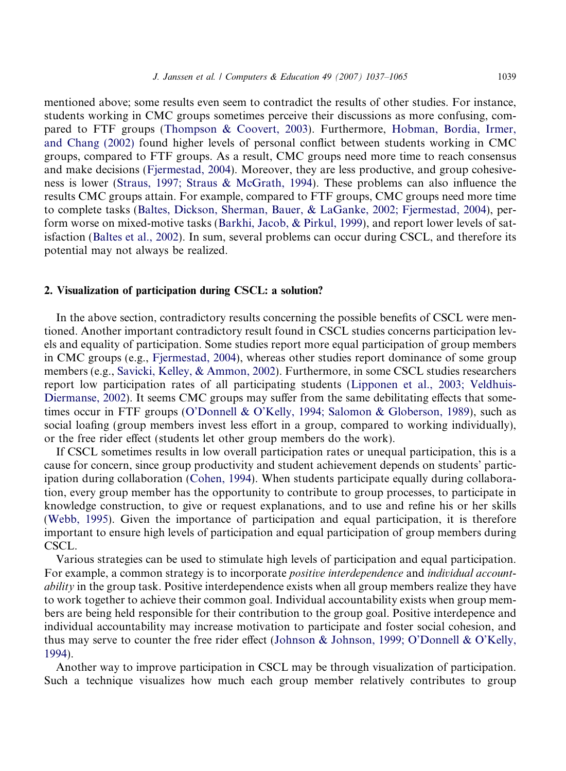mentioned above; some results even seem to contradict the results of other studies. For instance, students working in CMC groups sometimes perceive their discussions as more confusing, compared to FTF groups ([Thompson & Coovert, 2003](#page-27-0)). Furthermore, [Hobman, Bordia, Irmer,](#page-26-0) [and Chang \(2002\)](#page-26-0) found higher levels of personal conflict between students working in CMC groups, compared to FTF groups. As a result, CMC groups need more time to reach consensus and make decisions [\(Fjermestad, 2004\)](#page-26-0). Moreover, they are less productive, and group cohesiveness is lower ([Straus, 1997; Straus & McGrath, 1994\)](#page-27-0). These problems can also influence the results CMC groups attain. For example, compared to FTF groups, CMC groups need more time to complete tasks [\(Baltes, Dickson, Sherman, Bauer, & LaGanke, 2002; Fjermestad, 2004\)](#page-25-0), perform worse on mixed-motive tasks [\(Barkhi, Jacob, & Pirkul, 1999\)](#page-25-0), and report lower levels of satisfaction [\(Baltes et al., 2002\)](#page-25-0). In sum, several problems can occur during CSCL, and therefore its potential may not always be realized.

## 2. Visualization of participation during CSCL: a solution?

In the above section, contradictory results concerning the possible benefits of CSCL were mentioned. Another important contradictory result found in CSCL studies concerns participation levels and equality of participation. Some studies report more equal participation of group members in CMC groups (e.g., [Fjermestad, 2004](#page-26-0)), whereas other studies report dominance of some group members (e.g., [Savicki, Kelley, & Ammon, 2002\)](#page-27-0). Furthermore, in some CSCL studies researchers report low participation rates of all participating students ([Lipponen et al., 2003; Veldhuis-](#page-27-0)[Diermanse, 2002](#page-27-0)). It seems CMC groups may suffer from the same debilitating effects that sometimes occur in FTF groups ([O'Donnell & O'Kelly, 1994; Salomon & Globerson, 1989\)](#page-27-0), such as social loafing (group members invest less effort in a group, compared to working individually), or the free rider effect (students let other group members do the work).

If CSCL sometimes results in low overall participation rates or unequal participation, this is a cause for concern, since group productivity and student achievement depends on students' participation during collaboration ([Cohen, 1994\)](#page-25-0). When students participate equally during collaboration, every group member has the opportunity to contribute to group processes, to participate in knowledge construction, to give or request explanations, and to use and refine his or her skills [\(Webb, 1995](#page-28-0)). Given the importance of participation and equal participation, it is therefore important to ensure high levels of participation and equal participation of group members during CSCL.

Various strategies can be used to stimulate high levels of participation and equal participation. For example, a common strategy is to incorporate *positive interdependence* and *individual accountability* in the group task. Positive interdependence exists when all group members realize they have to work together to achieve their common goal. Individual accountability exists when group members are being held responsible for their contribution to the group goal. Positive interdepence and individual accountability may increase motivation to participate and foster social cohesion, and thus may serve to counter the free rider effect [\(Johnson & Johnson, 1999; O'Donnell & O'Kelly,](#page-26-0) [1994](#page-26-0)).

Another way to improve participation in CSCL may be through visualization of participation. Such a technique visualizes how much each group member relatively contributes to group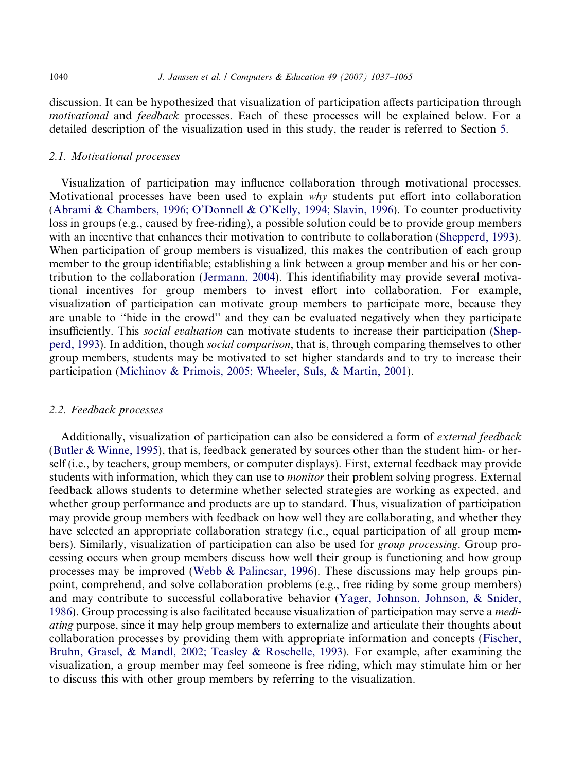discussion. It can be hypothesized that visualization of participation affects participation through motivational and feedback processes. Each of these processes will be explained below. For a detailed description of the visualization used in this study, the reader is referred to Section [5.](#page-6-0)

# 2.1. Motivational processes

Visualization of participation may influence collaboration through motivational processes. Motivational processes have been used to explain why students put effort into collaboration [\(Abrami & Chambers, 1996; O'Donnell & O'Kelly, 1994; Slavin, 1996](#page-25-0)). To counter productivity loss in groups (e.g., caused by free-riding), a possible solution could be to provide group members with an incentive that enhances their motivation to contribute to collaboration [\(Shepperd, 1993](#page-27-0)). When participation of group members is visualized, this makes the contribution of each group member to the group identifiable; establishing a link between a group member and his or her contribution to the collaboration ([Jermann, 2004\)](#page-26-0). This identifiability may provide several motivational incentives for group members to invest effort into collaboration. For example, visualization of participation can motivate group members to participate more, because they are unable to ''hide in the crowd'' and they can be evaluated negatively when they participate insufficiently. This *social evaluation* can motivate students to increase their participation [\(Shep](#page-27-0)[perd, 1993](#page-27-0)). In addition, though social comparison, that is, through comparing themselves to other group members, students may be motivated to set higher standards and to try to increase their participation [\(Michinov & Primois, 2005; Wheeler, Suls, & Martin, 2001\)](#page-27-0).

## 2.2. Feedback processes

Additionally, visualization of participation can also be considered a form of external feedback [\(Butler & Winne, 1995](#page-25-0)), that is, feedback generated by sources other than the student him- or herself (i.e., by teachers, group members, or computer displays). First, external feedback may provide students with information, which they can use to *monitor* their problem solving progress. External feedback allows students to determine whether selected strategies are working as expected, and whether group performance and products are up to standard. Thus, visualization of participation may provide group members with feedback on how well they are collaborating, and whether they have selected an appropriate collaboration strategy (i.e., equal participation of all group members). Similarly, visualization of participation can also be used for group processing. Group processing occurs when group members discuss how well their group is functioning and how group processes may be improved ([Webb & Palincsar, 1996\)](#page-28-0). These discussions may help groups pinpoint, comprehend, and solve collaboration problems (e.g., free riding by some group members) and may contribute to successful collaborative behavior [\(Yager, Johnson, Johnson, & Snider,](#page-28-0) [1986](#page-28-0)). Group processing is also facilitated because visualization of participation may serve a *medi*ating purpose, since it may help group members to externalize and articulate their thoughts about collaboration processes by providing them with appropriate information and concepts [\(Fischer,](#page-26-0) [Bruhn, Grasel, & Mandl, 2002; Teasley & Roschelle, 1993\)](#page-26-0). For example, after examining the visualization, a group member may feel someone is free riding, which may stimulate him or her to discuss this with other group members by referring to the visualization.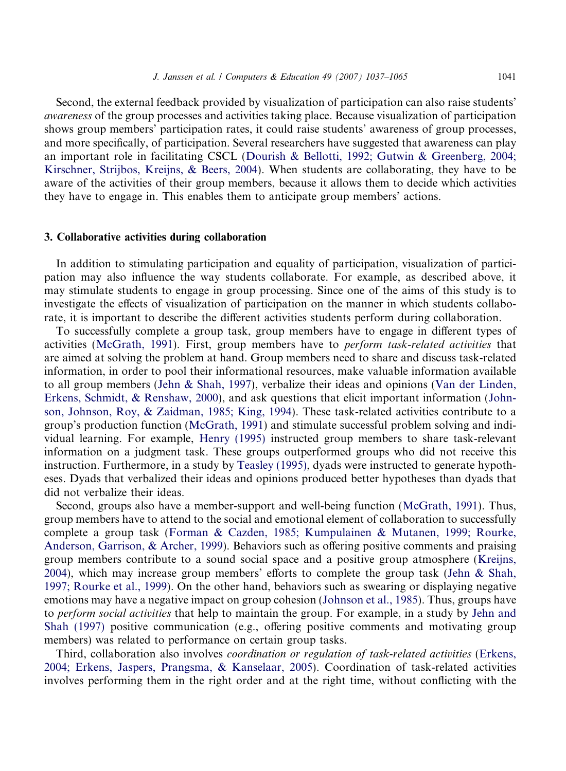Second, the external feedback provided by visualization of participation can also raise students' awareness of the group processes and activities taking place. Because visualization of participation shows group members' participation rates, it could raise students' awareness of group processes, and more specifically, of participation. Several researchers have suggested that awareness can play an important role in facilitating CSCL ([Dourish & Bellotti, 1992; Gutwin & Greenberg, 2004;](#page-25-0) [Kirschner, Strijbos, Kreijns, & Beers, 2004\)](#page-25-0). When students are collaborating, they have to be aware of the activities of their group members, because it allows them to decide which activities they have to engage in. This enables them to anticipate group members' actions.

## 3. Collaborative activities during collaboration

In addition to stimulating participation and equality of participation, visualization of participation may also influence the way students collaborate. For example, as described above, it may stimulate students to engage in group processing. Since one of the aims of this study is to investigate the effects of visualization of participation on the manner in which students collaborate, it is important to describe the different activities students perform during collaboration.

To successfully complete a group task, group members have to engage in different types of activities [\(McGrath, 1991\)](#page-27-0). First, group members have to perform task-related activities that are aimed at solving the problem at hand. Group members need to share and discuss task-related information, in order to pool their informational resources, make valuable information available to all group members [\(Jehn & Shah, 1997\)](#page-26-0), verbalize their ideas and opinions ([Van der Linden,](#page-27-0) [Erkens, Schmidt, & Renshaw, 2000](#page-27-0)), and ask questions that elicit important information [\(John](#page-26-0)[son, Johnson, Roy, & Zaidman, 1985; King, 1994\)](#page-26-0). These task-related activities contribute to a group's production function ([McGrath, 1991\)](#page-27-0) and stimulate successful problem solving and individual learning. For example, [Henry \(1995\)](#page-26-0) instructed group members to share task-relevant information on a judgment task. These groups outperformed groups who did not receive this instruction. Furthermore, in a study by [Teasley \(1995\)](#page-27-0), dyads were instructed to generate hypotheses. Dyads that verbalized their ideas and opinions produced better hypotheses than dyads that did not verbalize their ideas.

Second, groups also have a member-support and well-being function [\(McGrath, 1991\)](#page-27-0). Thus, group members have to attend to the social and emotional element of collaboration to successfully complete a group task [\(Forman & Cazden, 1985; Kumpulainen & Mutanen, 1999; Rourke,](#page-26-0) [Anderson, Garrison, & Archer, 1999](#page-26-0)). Behaviors such as offering positive comments and praising group members contribute to a sound social space and a positive group atmosphere ([Kreijns,](#page-26-0) [2004](#page-26-0)), which may increase group members' efforts to complete the group task (Jehn  $\&$  Shah, [1997; Rourke et al., 1999\)](#page-26-0). On the other hand, behaviors such as swearing or displaying negative emotions may have a negative impact on group cohesion ([Johnson et al., 1985](#page-26-0)). Thus, groups have to perform social activities that help to maintain the group. For example, in a study by [Jehn and](#page-26-0) [Shah \(1997\)](#page-26-0) positive communication (e.g., offering positive comments and motivating group members) was related to performance on certain group tasks.

Third, collaboration also involves *coordination or regulation of task-related activities* [\(Erkens,](#page-26-0) [2004; Erkens, Jaspers, Prangsma, & Kanselaar, 2005\)](#page-26-0). Coordination of task-related activities involves performing them in the right order and at the right time, without conflicting with the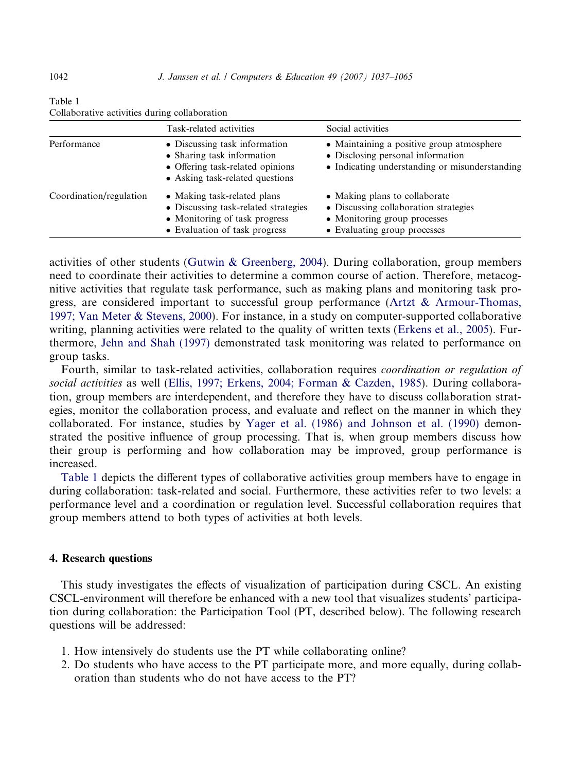|                         | Task-related activities                                                                                                               | Social activities                                                                                                                      |
|-------------------------|---------------------------------------------------------------------------------------------------------------------------------------|----------------------------------------------------------------------------------------------------------------------------------------|
| Performance             | • Discussing task information<br>• Sharing task information<br>• Offering task-related opinions<br>• Asking task-related questions    | • Maintaining a positive group atmosphere<br>• Disclosing personal information<br>• Indicating understanding or misunderstanding       |
| Coordination/regulation | • Making task-related plans<br>• Discussing task-related strategies<br>• Monitoring of task progress<br>• Evaluation of task progress | • Making plans to collaborate<br>• Discussing collaboration strategies<br>• Monitoring group processes<br>• Evaluating group processes |

Table 1 Collaborative activities during collaboration

activities of other students ([Gutwin & Greenberg, 2004](#page-26-0)). During collaboration, group members need to coordinate their activities to determine a common course of action. Therefore, metacognitive activities that regulate task performance, such as making plans and monitoring task progress, are considered important to successful group performance ([Artzt & Armour-Thomas,](#page-25-0) [1997; Van Meter & Stevens, 2000\)](#page-25-0). For instance, in a study on computer-supported collaborative writing, planning activities were related to the quality of written texts ([Erkens et al., 2005](#page-26-0)). Furthermore, [Jehn and Shah \(1997\)](#page-26-0) demonstrated task monitoring was related to performance on group tasks.

Fourth, similar to task-related activities, collaboration requires coordination or regulation of social activities as well ([Ellis, 1997; Erkens, 2004; Forman & Cazden, 1985\)](#page-26-0). During collaboration, group members are interdependent, and therefore they have to discuss collaboration strategies, monitor the collaboration process, and evaluate and reflect on the manner in which they collaborated. For instance, studies by [Yager et al. \(1986\) and Johnson et al. \(1990\)](#page-28-0) demonstrated the positive influence of group processing. That is, when group members discuss how their group is performing and how collaboration may be improved, group performance is increased.

Table 1 depicts the different types of collaborative activities group members have to engage in during collaboration: task-related and social. Furthermore, these activities refer to two levels: a performance level and a coordination or regulation level. Successful collaboration requires that group members attend to both types of activities at both levels.

## 4. Research questions

This study investigates the effects of visualization of participation during CSCL. An existing CSCL-environment will therefore be enhanced with a new tool that visualizes students' participation during collaboration: the Participation Tool (PT, described below). The following research questions will be addressed:

- 1. How intensively do students use the PT while collaborating online?
- 2. Do students who have access to the PT participate more, and more equally, during collaboration than students who do not have access to the PT?

<span id="page-5-0"></span>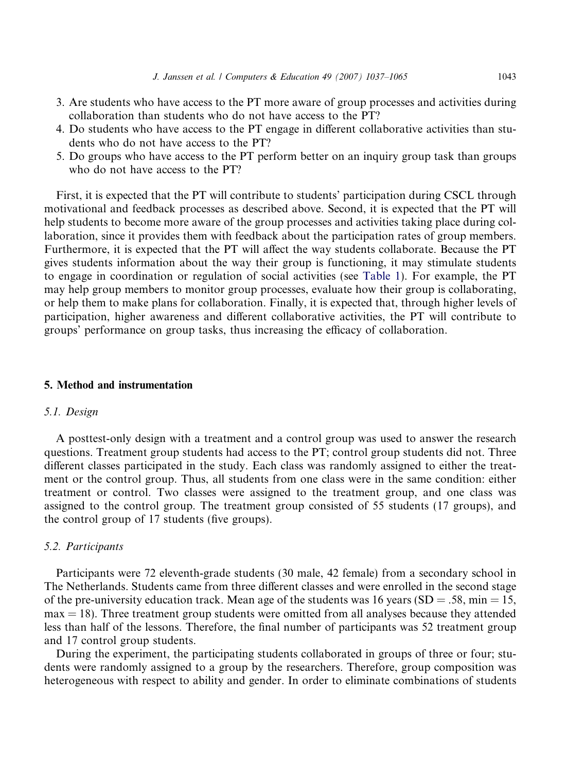- <span id="page-6-0"></span>3. Are students who have access to the PT more aware of group processes and activities during collaboration than students who do not have access to the PT?
- 4. Do students who have access to the PT engage in different collaborative activities than students who do not have access to the PT?
- 5. Do groups who have access to the PT perform better on an inquiry group task than groups who do not have access to the PT?

First, it is expected that the PT will contribute to students' participation during CSCL through motivational and feedback processes as described above. Second, it is expected that the PT will help students to become more aware of the group processes and activities taking place during collaboration, since it provides them with feedback about the participation rates of group members. Furthermore, it is expected that the PT will affect the way students collaborate. Because the PT gives students information about the way their group is functioning, it may stimulate students to engage in coordination or regulation of social activities (see [Table 1\)](#page-5-0). For example, the PT may help group members to monitor group processes, evaluate how their group is collaborating, or help them to make plans for collaboration. Finally, it is expected that, through higher levels of participation, higher awareness and different collaborative activities, the PT will contribute to groups' performance on group tasks, thus increasing the efficacy of collaboration.

## 5. Method and instrumentation

## 5.1. Design

A posttest-only design with a treatment and a control group was used to answer the research questions. Treatment group students had access to the PT; control group students did not. Three different classes participated in the study. Each class was randomly assigned to either the treatment or the control group. Thus, all students from one class were in the same condition: either treatment or control. Two classes were assigned to the treatment group, and one class was assigned to the control group. The treatment group consisted of 55 students (17 groups), and the control group of 17 students (five groups).

#### 5.2. Participants

Participants were 72 eleventh-grade students (30 male, 42 female) from a secondary school in The Netherlands. Students came from three different classes and were enrolled in the second stage of the pre-university education track. Mean age of the students was 16 years (SD = .58, min = 15,  $max = 18$ ). Three treatment group students were omitted from all analyses because they attended less than half of the lessons. Therefore, the final number of participants was 52 treatment group and 17 control group students.

During the experiment, the participating students collaborated in groups of three or four; students were randomly assigned to a group by the researchers. Therefore, group composition was heterogeneous with respect to ability and gender. In order to eliminate combinations of students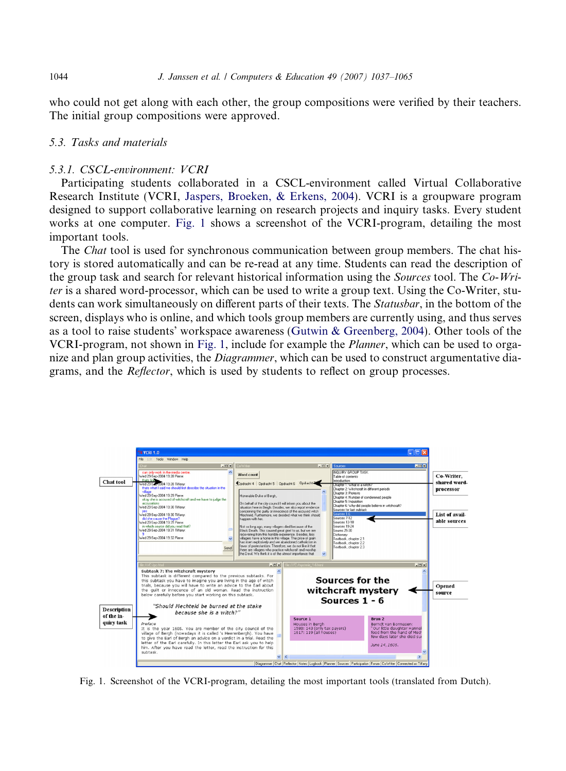<span id="page-7-0"></span>who could not get along with each other, the group compositions were verified by their teachers. The initial group compositions were approved.

# 5.3. Tasks and materials

## 5.3.1. CSCL-environment: VCRI

Participating students collaborated in a CSCL-environment called Virtual Collaborative Research Institute (VCRI, [Jaspers, Broeken, & Erkens, 2004\)](#page-26-0). VCRI is a groupware program designed to support collaborative learning on research projects and inquiry tasks. Every student works at one computer. Fig. 1 shows a screenshot of the VCRI-program, detailing the most important tools.

The *Chat* tool is used for synchronous communication between group members. The chat history is stored automatically and can be re-read at any time. Students can read the description of the group task and search for relevant historical information using the Sources tool. The Co-Writer is a shared word-processor, which can be used to write a group text. Using the Co-Writer, students can work simultaneously on different parts of their texts. The *Statusbar*, in the bottom of the screen, displays who is online, and which tools group members are currently using, and thus serves as a tool to raise students' workspace awareness [\(Gutwin & Greenberg, 2004](#page-26-0)). Other tools of the VCRI-program, not shown in Fig. 1, include for example the Planner, which can be used to organize and plan group activities, the *Diagrammer*, which can be used to construct argumentative diagrams, and the Reflector, which is used by students to reflect on group processes.



Fig. 1. Screenshot of the VCRI-program, detailing the most important tools (translated from Dutch).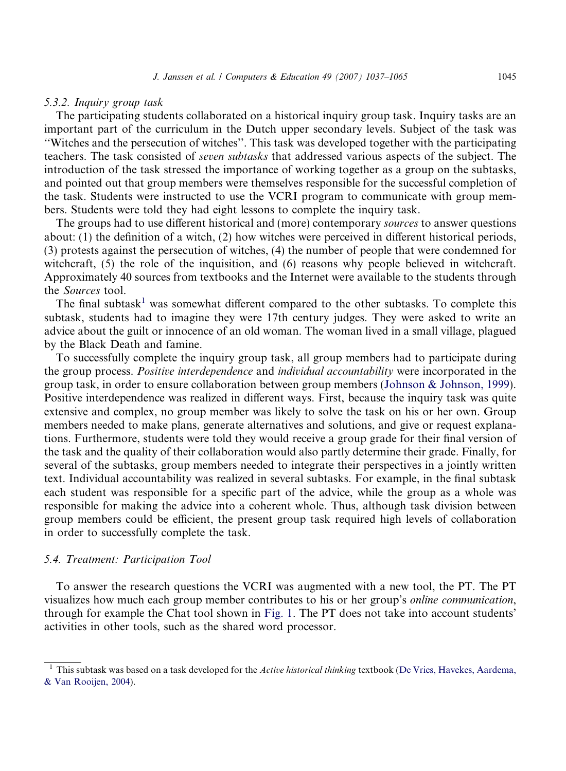#### 5.3.2. Inquiry group task

The participating students collaborated on a historical inquiry group task. Inquiry tasks are an important part of the curriculum in the Dutch upper secondary levels. Subject of the task was ''Witches and the persecution of witches''. This task was developed together with the participating teachers. The task consisted of seven subtasks that addressed various aspects of the subject. The introduction of the task stressed the importance of working together as a group on the subtasks, and pointed out that group members were themselves responsible for the successful completion of the task. Students were instructed to use the VCRI program to communicate with group members. Students were told they had eight lessons to complete the inquiry task.

The groups had to use different historical and (more) contemporary *sources* to answer questions about: (1) the definition of a witch, (2) how witches were perceived in different historical periods, (3) protests against the persecution of witches, (4) the number of people that were condemned for witchcraft, (5) the role of the inquisition, and (6) reasons why people believed in witchcraft. Approximately 40 sources from textbooks and the Internet were available to the students through the Sources tool.

The final subtask<sup>1</sup> was somewhat different compared to the other subtasks. To complete this subtask, students had to imagine they were 17th century judges. They were asked to write an advice about the guilt or innocence of an old woman. The woman lived in a small village, plagued by the Black Death and famine.

To successfully complete the inquiry group task, all group members had to participate during the group process. Positive interdependence and individual accountability were incorporated in the group task, in order to ensure collaboration between group members ([Johnson & Johnson, 1999](#page-26-0)). Positive interdependence was realized in different ways. First, because the inquiry task was quite extensive and complex, no group member was likely to solve the task on his or her own. Group members needed to make plans, generate alternatives and solutions, and give or request explanations. Furthermore, students were told they would receive a group grade for their final version of the task and the quality of their collaboration would also partly determine their grade. Finally, for several of the subtasks, group members needed to integrate their perspectives in a jointly written text. Individual accountability was realized in several subtasks. For example, in the final subtask each student was responsible for a specific part of the advice, while the group as a whole was responsible for making the advice into a coherent whole. Thus, although task division between group members could be efficient, the present group task required high levels of collaboration in order to successfully complete the task.

#### 5.4. Treatment: Participation Tool

To answer the research questions the VCRI was augmented with a new tool, the PT. The PT visualizes how much each group member contributes to his or her group's online communication, through for example the Chat tool shown in [Fig. 1.](#page-7-0) The PT does not take into account students' activities in other tools, such as the shared word processor.

<sup>&</sup>lt;sup>1</sup> This subtask was based on a task developed for the Active historical thinking textbook [\(De Vries, Havekes, Aardema,](#page-25-0) [& Van Rooijen, 2004](#page-25-0)).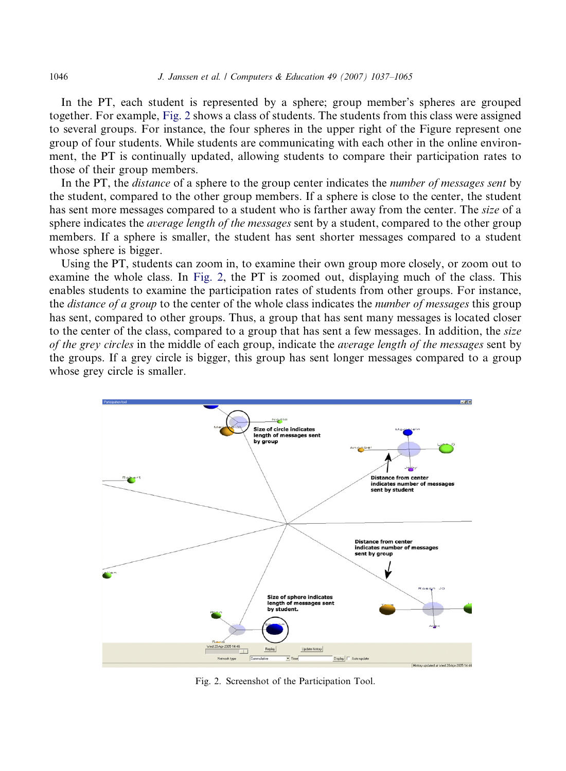In the PT, each student is represented by a sphere; group member's spheres are grouped together. For example, Fig. 2 shows a class of students. The students from this class were assigned to several groups. For instance, the four spheres in the upper right of the Figure represent one group of four students. While students are communicating with each other in the online environment, the PT is continually updated, allowing students to compare their participation rates to those of their group members.

In the PT, the *distance* of a sphere to the group center indicates the *number of messages sent* by the student, compared to the other group members. If a sphere is close to the center, the student has sent more messages compared to a student who is farther away from the center. The *size* of a sphere indicates the *average length of the messages* sent by a student, compared to the other group members. If a sphere is smaller, the student has sent shorter messages compared to a student whose sphere is bigger.

Using the PT, students can zoom in, to examine their own group more closely, or zoom out to examine the whole class. In Fig. 2, the PT is zoomed out, displaying much of the class. This enables students to examine the participation rates of students from other groups. For instance, the *distance of a group* to the center of the whole class indicates the *number of messages* this group has sent, compared to other groups. Thus, a group that has sent many messages is located closer to the center of the class, compared to a group that has sent a few messages. In addition, the size of the grey circles in the middle of each group, indicate the average length of the messages sent by the groups. If a grey circle is bigger, this group has sent longer messages compared to a group whose grey circle is smaller.



Fig. 2. Screenshot of the Participation Tool.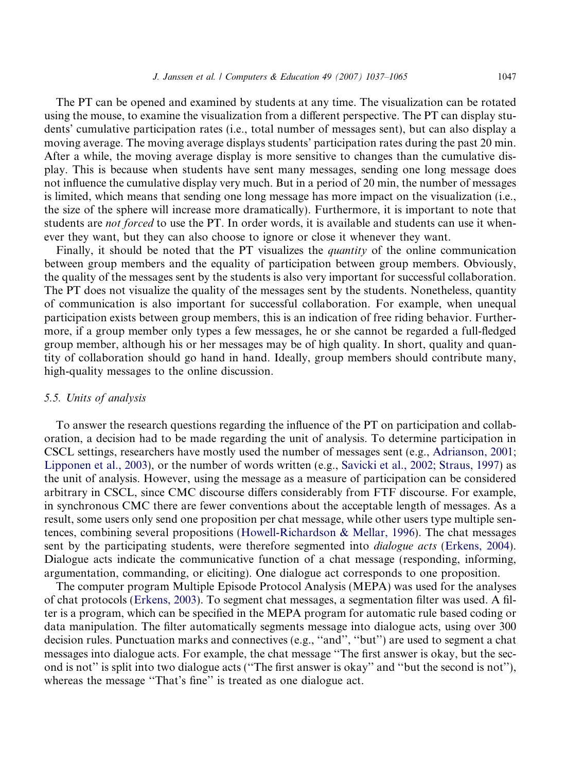The PT can be opened and examined by students at any time. The visualization can be rotated using the mouse, to examine the visualization from a different perspective. The PT can display students' cumulative participation rates (i.e., total number of messages sent), but can also display a moving average. The moving average displays students' participation rates during the past 20 min. After a while, the moving average display is more sensitive to changes than the cumulative display. This is because when students have sent many messages, sending one long message does not influence the cumulative display very much. But in a period of 20 min, the number of messages is limited, which means that sending one long message has more impact on the visualization (i.e., the size of the sphere will increase more dramatically). Furthermore, it is important to note that students are *not forced* to use the PT. In order words, it is available and students can use it whenever they want, but they can also choose to ignore or close it whenever they want.

Finally, it should be noted that the PT visualizes the *quantity* of the online communication between group members and the equality of participation between group members. Obviously, the quality of the messages sent by the students is also very important for successful collaboration. The PT does not visualize the quality of the messages sent by the students. Nonetheless, quantity of communication is also important for successful collaboration. For example, when unequal participation exists between group members, this is an indication of free riding behavior. Furthermore, if a group member only types a few messages, he or she cannot be regarded a full-fledged group member, although his or her messages may be of high quality. In short, quality and quantity of collaboration should go hand in hand. Ideally, group members should contribute many, high-quality messages to the online discussion.

## 5.5. Units of analysis

To answer the research questions regarding the influence of the PT on participation and collaboration, a decision had to be made regarding the unit of analysis. To determine participation in CSCL settings, researchers have mostly used the number of messages sent (e.g., [Adrianson, 2001;](#page-25-0) [Lipponen et al., 2003\)](#page-25-0), or the number of words written (e.g., [Savicki et al., 2002; Straus, 1997](#page-27-0)) as the unit of analysis. However, using the message as a measure of participation can be considered arbitrary in CSCL, since CMC discourse differs considerably from FTF discourse. For example, in synchronous CMC there are fewer conventions about the acceptable length of messages. As a result, some users only send one proposition per chat message, while other users type multiple sentences, combining several propositions ([Howell-Richardson & Mellar, 1996\)](#page-26-0). The chat messages sent by the participating students, were therefore segmented into *dialogue acts* [\(Erkens, 2004](#page-26-0)). Dialogue acts indicate the communicative function of a chat message (responding, informing, argumentation, commanding, or eliciting). One dialogue act corresponds to one proposition.

The computer program Multiple Episode Protocol Analysis (MEPA) was used for the analyses of chat protocols ([Erkens, 2003](#page-26-0)). To segment chat messages, a segmentation filter was used. A filter is a program, which can be specified in the MEPA program for automatic rule based coding or data manipulation. The filter automatically segments message into dialogue acts, using over 300 decision rules. Punctuation marks and connectives (e.g., ''and'', ''but'') are used to segment a chat messages into dialogue acts. For example, the chat message ''The first answer is okay, but the second is not'' is split into two dialogue acts (''The first answer is okay'' and ''but the second is not''), whereas the message "That's fine" is treated as one dialogue act.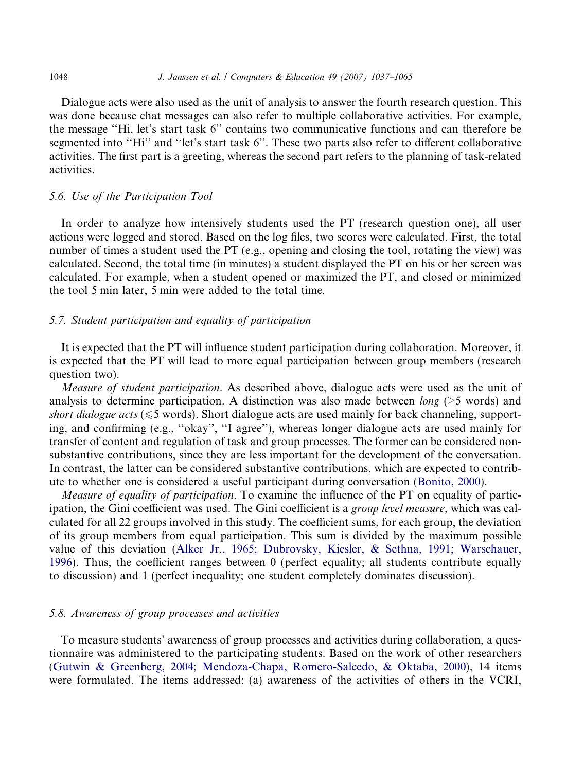Dialogue acts were also used as the unit of analysis to answer the fourth research question. This was done because chat messages can also refer to multiple collaborative activities. For example, the message ''Hi, let's start task 6'' contains two communicative functions and can therefore be segmented into ''Hi'' and ''let's start task 6''. These two parts also refer to different collaborative activities. The first part is a greeting, whereas the second part refers to the planning of task-related activities.

# 5.6. Use of the Participation Tool

In order to analyze how intensively students used the PT (research question one), all user actions were logged and stored. Based on the log files, two scores were calculated. First, the total number of times a student used the PT (e.g., opening and closing the tool, rotating the view) was calculated. Second, the total time (in minutes) a student displayed the PT on his or her screen was calculated. For example, when a student opened or maximized the PT, and closed or minimized the tool 5 min later, 5 min were added to the total time.

#### 5.7. Student participation and equality of participation

It is expected that the PT will influence student participation during collaboration. Moreover, it is expected that the PT will lead to more equal participation between group members (research question two).

Measure of student participation. As described above, dialogue acts were used as the unit of analysis to determine participation. A distinction was also made between *long* ( $>5$  words) and short dialogue acts ( $\leq 5$  words). Short dialogue acts are used mainly for back channeling, supporting, and confirming (e.g., ''okay'', ''I agree''), whereas longer dialogue acts are used mainly for transfer of content and regulation of task and group processes. The former can be considered nonsubstantive contributions, since they are less important for the development of the conversation. In contrast, the latter can be considered substantive contributions, which are expected to contribute to whether one is considered a useful participant during conversation ([Bonito, 2000](#page-25-0)).

Measure of equality of participation. To examine the influence of the PT on equality of participation, the Gini coefficient was used. The Gini coefficient is a group level measure, which was calculated for all 22 groups involved in this study. The coefficient sums, for each group, the deviation of its group members from equal participation. This sum is divided by the maximum possible value of this deviation [\(Alker Jr., 1965; Dubrovsky, Kiesler, & Sethna, 1991; Warschauer,](#page-25-0) [1996](#page-25-0)). Thus, the coefficient ranges between 0 (perfect equality; all students contribute equally to discussion) and 1 (perfect inequality; one student completely dominates discussion).

# 5.8. Awareness of group processes and activities

To measure students' awareness of group processes and activities during collaboration, a questionnaire was administered to the participating students. Based on the work of other researchers [\(Gutwin & Greenberg, 2004; Mendoza-Chapa, Romero-Salcedo, & Oktaba, 2000](#page-26-0)), 14 items were formulated. The items addressed: (a) awareness of the activities of others in the VCRI,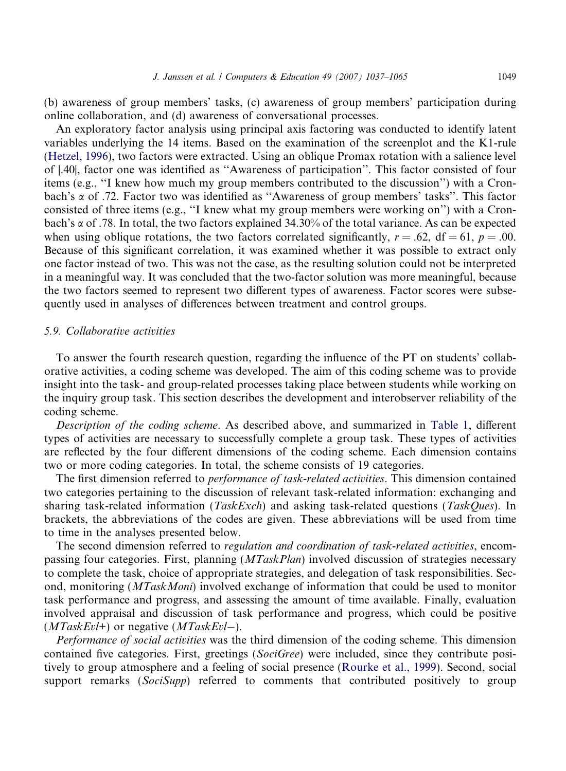(b) awareness of group members' tasks, (c) awareness of group members' participation during online collaboration, and (d) awareness of conversational processes.

An exploratory factor analysis using principal axis factoring was conducted to identify latent variables underlying the 14 items. Based on the examination of the screenplot and the K1-rule [\(Hetzel, 1996\)](#page-26-0), two factors were extracted. Using an oblique Promax rotation with a salience level of |.40|, factor one was identified as ''Awareness of participation''. This factor consisted of four items (e.g., ''I knew how much my group members contributed to the discussion'') with a Cronbach's a of .72. Factor two was identified as ''Awareness of group members' tasks''. This factor consisted of three items (e.g., ''I knew what my group members were working on'') with a Cronbach's  $\alpha$  of .78. In total, the two factors explained 34.30% of the total variance. As can be expected when using oblique rotations, the two factors correlated significantly,  $r = .62$ ,  $df = 61$ ,  $p = .00$ . Because of this significant correlation, it was examined whether it was possible to extract only one factor instead of two. This was not the case, as the resulting solution could not be interpreted in a meaningful way. It was concluded that the two-factor solution was more meaningful, because the two factors seemed to represent two different types of awareness. Factor scores were subsequently used in analyses of differences between treatment and control groups.

## 5.9. Collaborative activities

To answer the fourth research question, regarding the influence of the PT on students' collaborative activities, a coding scheme was developed. The aim of this coding scheme was to provide insight into the task- and group-related processes taking place between students while working on the inquiry group task. This section describes the development and interobserver reliability of the coding scheme.

Description of the coding scheme. As described above, and summarized in [Table 1,](#page-5-0) different types of activities are necessary to successfully complete a group task. These types of activities are reflected by the four different dimensions of the coding scheme. Each dimension contains two or more coding categories. In total, the scheme consists of 19 categories.

The first dimension referred to *performance of task-related activities*. This dimension contained two categories pertaining to the discussion of relevant task-related information: exchanging and sharing task-related information (*TaskExch*) and asking task-related questions (*TaskQues*). In brackets, the abbreviations of the codes are given. These abbreviations will be used from time to time in the analyses presented below.

The second dimension referred to *regulation and coordination of task-related activities*, encompassing four categories. First, planning (*MTaskPlan*) involved discussion of strategies necessary to complete the task, choice of appropriate strategies, and delegation of task responsibilities. Second, monitoring (MTaskMoni) involved exchange of information that could be used to monitor task performance and progress, and assessing the amount of time available. Finally, evaluation involved appraisal and discussion of task performance and progress, which could be positive  $(MTaskEvl+)$  or negative  $(MTaskEvl-)$ .

Performance of social activities was the third dimension of the coding scheme. This dimension contained five categories. First, greetings (SociGree) were included, since they contribute positively to group atmosphere and a feeling of social presence ([Rourke et al., 1999\)](#page-27-0). Second, social support remarks  $(SociSupp)$  referred to comments that contributed positively to group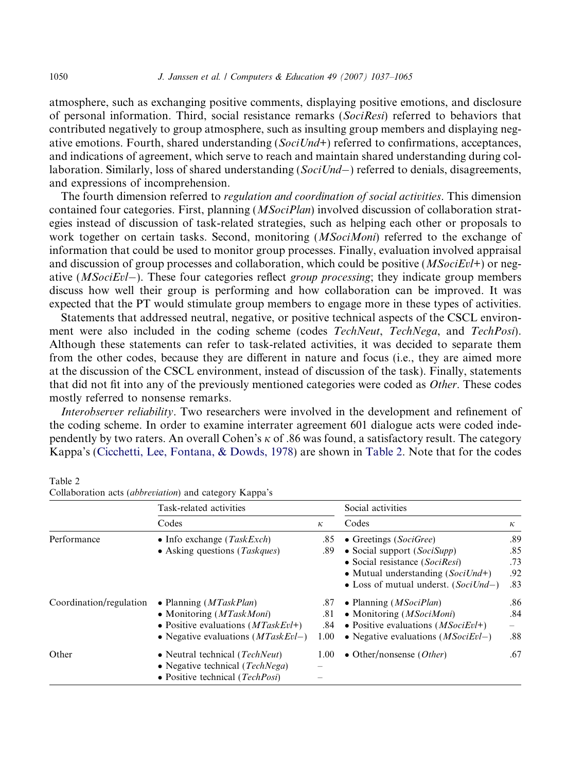<span id="page-13-0"></span>atmosphere, such as exchanging positive comments, displaying positive emotions, and disclosure of personal information. Third, social resistance remarks (SociResi) referred to behaviors that contributed negatively to group atmosphere, such as insulting group members and displaying negative emotions. Fourth, shared understanding  $(SociUnd+)$  referred to confirmations, acceptances, and indications of agreement, which serve to reach and maintain shared understanding during collaboration. Similarly, loss of shared understanding ( $SociUnd$ ) referred to denials, disagreements, and expressions of incomprehension.

The fourth dimension referred to *regulation and coordination of social activities*. This dimension contained four categories. First, planning (MSociPlan) involved discussion of collaboration strategies instead of discussion of task-related strategies, such as helping each other or proposals to work together on certain tasks. Second, monitoring *(MSociMoni)* referred to the exchange of information that could be used to monitor group processes. Finally, evaluation involved appraisal and discussion of group processes and collaboration, which could be positive ( $MSociEvl$ +) or negative ( $MSociEv1$ ). These four categories reflect *group processing*; they indicate group members discuss how well their group is performing and how collaboration can be improved. It was expected that the PT would stimulate group members to engage more in these types of activities.

Statements that addressed neutral, negative, or positive technical aspects of the CSCL environment were also included in the coding scheme (codes TechNeut, TechNega, and TechPosi). Although these statements can refer to task-related activities, it was decided to separate them from the other codes, because they are different in nature and focus (i.e., they are aimed more at the discussion of the CSCL environment, instead of discussion of the task). Finally, statements that did not fit into any of the previously mentioned categories were coded as *Other*. These codes mostly referred to nonsense remarks.

Interobserver reliability. Two researchers were involved in the development and refinement of the coding scheme. In order to examine interrater agreement 601 dialogue acts were coded independently by two raters. An overall Cohen's  $\kappa$  of .86 was found, a satisfactory result. The category Kappa's [\(Cicchetti, Lee, Fontana, & Dowds, 1978](#page-25-0)) are shown in Table 2. Note that for the codes

Table 2 Collaboration acts (abbreviation) and category Kappa's

|                         | Task-related activities                | Social activities |                                        |     |  |  |
|-------------------------|----------------------------------------|-------------------|----------------------------------------|-----|--|--|
|                         | Codes                                  | к                 | Codes                                  | к   |  |  |
| Performance             | • Info exchange $(TaskExch)$           | .85               | • Greetings ( $SociGree$ )             | .89 |  |  |
|                         | • Asking questions ( <i>Taskques</i> ) | .89               | • Social support $(SociSupp)$          | .85 |  |  |
|                         |                                        |                   | $\bullet$ Social resistance (SociResi) | .73 |  |  |
|                         |                                        |                   | • Mutual understanding $(SociUnd+)$    | .92 |  |  |
|                         |                                        |                   | • Loss of mutual underst. (SociUnd-)   | .83 |  |  |
| Coordination/regulation | • Planning $(MTaskPlan)$               | .87               | • Planning $(MSociPlan)$               | .86 |  |  |
|                         | • Monitoring $(MTaskMoni)$             | .81               | • Monitoring $(MSociMoni)$             | .84 |  |  |
|                         | • Positive evaluations $(MTaskEvl+)$   | .84               | • Positive evaluations $(MSociEvl+)$   |     |  |  |
|                         | • Negative evaluations $(MTaskEvl-)$   | 1.00              | • Negative evaluations $(MSociEvl-)$   | .88 |  |  |
| Other                   | • Neutral technical ( $Technical$ )    | 1.00              | • Other/nonsense (Other)               | .67 |  |  |
|                         | • Negative technical ( $Technical$ )   |                   |                                        |     |  |  |
|                         | • Positive technical ( $Technical$ )   |                   |                                        |     |  |  |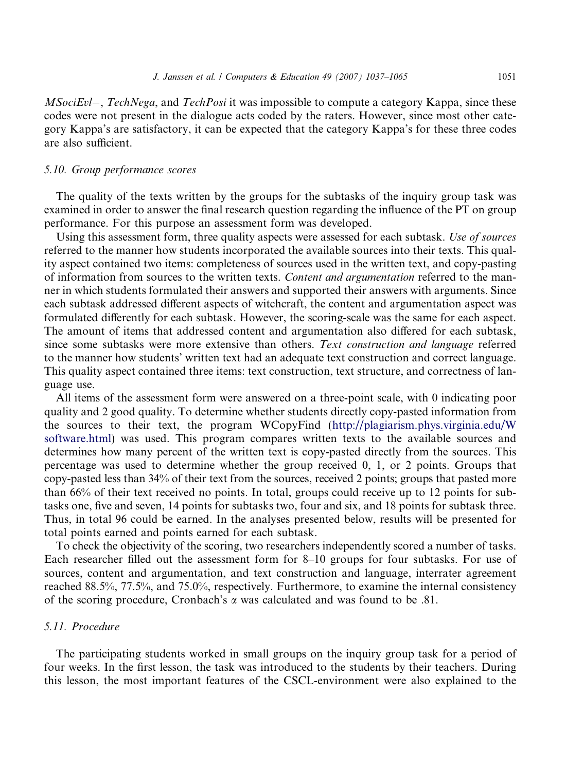$MSociEv1-.$  TechNega, and TechPosi it was impossible to compute a category Kappa, since these codes were not present in the dialogue acts coded by the raters. However, since most other category Kappa's are satisfactory, it can be expected that the category Kappa's for these three codes are also sufficient.

#### 5.10. Group performance scores

The quality of the texts written by the groups for the subtasks of the inquiry group task was examined in order to answer the final research question regarding the influence of the PT on group performance. For this purpose an assessment form was developed.

Using this assessment form, three quality aspects were assessed for each subtask. Use of sources referred to the manner how students incorporated the available sources into their texts. This quality aspect contained two items: completeness of sources used in the written text, and copy-pasting of information from sources to the written texts. Content and argumentation referred to the manner in which students formulated their answers and supported their answers with arguments. Since each subtask addressed different aspects of witchcraft, the content and argumentation aspect was formulated differently for each subtask. However, the scoring-scale was the same for each aspect. The amount of items that addressed content and argumentation also differed for each subtask, since some subtasks were more extensive than others. Text construction and language referred to the manner how students' written text had an adequate text construction and correct language. This quality aspect contained three items: text construction, text structure, and correctness of language use.

All items of the assessment form were answered on a three-point scale, with 0 indicating poor quality and 2 good quality. To determine whether students directly copy-pasted information from the sources to their text, the program WCopyFind ([http://plagiarism.phys.virginia.edu/W](http://plagiarism.phys.virginia.edu/Wsoftware.html) [software.html](http://plagiarism.phys.virginia.edu/Wsoftware.html)) was used. This program compares written texts to the available sources and determines how many percent of the written text is copy-pasted directly from the sources. This percentage was used to determine whether the group received 0, 1, or 2 points. Groups that copy-pasted less than 34% of their text from the sources, received 2 points; groups that pasted more than 66% of their text received no points. In total, groups could receive up to 12 points for subtasks one, five and seven, 14 points for subtasks two, four and six, and 18 points for subtask three. Thus, in total 96 could be earned. In the analyses presented below, results will be presented for total points earned and points earned for each subtask.

To check the objectivity of the scoring, two researchers independently scored a number of tasks. Each researcher filled out the assessment form for 8–10 groups for four subtasks. For use of sources, content and argumentation, and text construction and language, interrater agreement reached 88.5%, 77.5%, and 75.0%, respectively. Furthermore, to examine the internal consistency of the scoring procedure, Cronbach's  $\alpha$  was calculated and was found to be .81.

# 5.11. Procedure

The participating students worked in small groups on the inquiry group task for a period of four weeks. In the first lesson, the task was introduced to the students by their teachers. During this lesson, the most important features of the CSCL-environment were also explained to the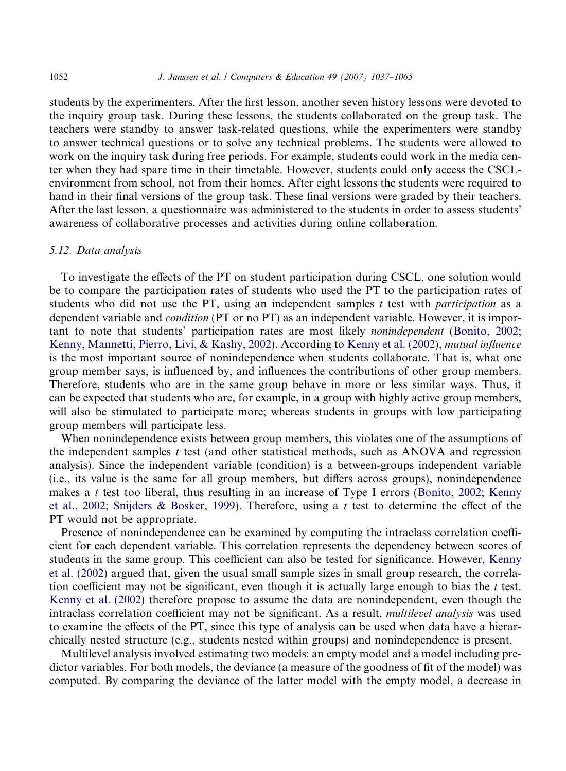students by the experimenters. After the first lesson, another seven history lessons were devoted to the inquiry group task. During these lessons, the students collaborated on the group task. The teachers were standby to answer task-related questions, while the experimenters were standby to answer technical questions or to solve any technical problems. The students were allowed to work on the inquiry task during free periods. For example, students could work in the media center when they had spare time in their timetable. However, students could only access the CSCLenvironment from school, not from their homes. After eight lessons the students were required to hand in their final versions of the group task. These final versions were graded by their teachers. After the last lesson, a questionnaire was administered to the students in order to assess students' awareness of collaborative processes and activities during online collaboration.

#### 5.12. Data analysis

To investigate the effects of the PT on student participation during CSCL, one solution would be to compare the participation rates of students who used the PT to the participation rates of students who did not use the PT, using an independent samples  $t$  test with *participation* as a dependent variable and *condition* (PT or no PT) as an independent variable. However, it is important to note that students' participation rates are most likely nonindependent [\(Bonito, 2002;](#page-25-0) [Kenny, Mannetti, Pierro, Livi, & Kashy, 2002\)](#page-25-0). According to [Kenny et al. \(2002\)](#page-26-0), mutual influence is the most important source of nonindependence when students collaborate. That is, what one group member says, is influenced by, and influences the contributions of other group members. Therefore, students who are in the same group behave in more or less similar ways. Thus, it can be expected that students who are, for example, in a group with highly active group members, will also be stimulated to participate more; whereas students in groups with low participating group members will participate less.

When nonindependence exists between group members, this violates one of the assumptions of the independent samples  $t$  test (and other statistical methods, such as ANOVA and regression analysis). Since the independent variable (condition) is a between-groups independent variable (i.e., its value is the same for all group members, but differs across groups), nonindependence makes a  $t$  test too liberal, thus resulting in an increase of Type I errors ([Bonito, 2002; Kenny](#page-25-0) [et al., 2002; Snijders & Bosker, 1999](#page-25-0)). Therefore, using a t test to determine the effect of the PT would not be appropriate.

Presence of nonindependence can be examined by computing the intraclass correlation coefficient for each dependent variable. This correlation represents the dependency between scores of students in the same group. This coefficient can also be tested for significance. However, [Kenny](#page-26-0) [et al. \(2002\)](#page-26-0) argued that, given the usual small sample sizes in small group research, the correlation coefficient may not be significant, even though it is actually large enough to bias the  $t$  test. [Kenny et al. \(2002\)](#page-26-0) therefore propose to assume the data are nonindependent, even though the intraclass correlation coefficient may not be significant. As a result, multilevel analysis was used to examine the effects of the PT, since this type of analysis can be used when data have a hierarchically nested structure (e.g., students nested within groups) and nonindependence is present.

Multilevel analysis involved estimating two models: an empty model and a model including predictor variables. For both models, the deviance (a measure of the goodness of fit of the model) was computed. By comparing the deviance of the latter model with the empty model, a decrease in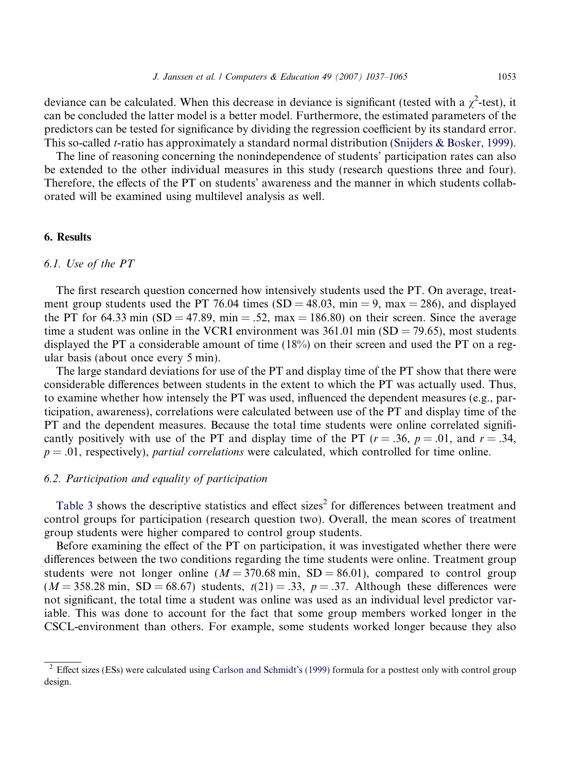deviance can be calculated. When this decrease in deviance is significant (tested with a  $\chi^2$ -test), it can be concluded the latter model is a better model. Furthermore, the estimated parameters of the predictors can be tested for significance by dividing the regression coefficient by its standard error. This so-called *t*-ratio has approximately a standard normal distribution [\(Snijders & Bosker, 1999](#page-27-0)).

The line of reasoning concerning the nonindependence of students' participation rates can also be extended to the other individual measures in this study (research questions three and four). Therefore, the effects of the PT on students' awareness and the manner in which students collaborated will be examined using multilevel analysis as well.

## 6. Results

# 6.1. Use of the PT

The first research question concerned how intensively students used the PT. On average, treatment group students used the PT 76.04 times  $(SD = 48.03, \text{min} = 9, \text{max} = 286)$ , and displayed the PT for 64.33 min  $(SD = 47.89, \text{min} = .52, \text{max} = 186.80)$  on their screen. Since the average time a student was online in the VCRI environment was  $361.01$  min  $(SD = 79.65)$ , most students displayed the PT a considerable amount of time (18%) on their screen and used the PT on a regular basis (about once every 5 min).

The large standard deviations for use of the PT and display time of the PT show that there were considerable differences between students in the extent to which the PT was actually used. Thus, to examine whether how intensely the PT was used, influenced the dependent measures (e.g., participation, awareness), correlations were calculated between use of the PT and display time of the PT and the dependent measures. Because the total time students were online correlated significantly positively with use of the PT and display time of the PT  $(r=.36, p=.01,$  and  $r=.34,$  $p = .01$ , respectively), *partial correlations* were calculated, which controlled for time online.

# 6.2. Participation and equality of participation

[Table 3](#page-17-0) shows the descriptive statistics and effect sizes<sup>2</sup> for differences between treatment and control groups for participation (research question two). Overall, the mean scores of treatment group students were higher compared to control group students.

Before examining the effect of the PT on participation, it was investigated whether there were differences between the two conditions regarding the time students were online. Treatment group students were not longer online ( $M = 370.68$  min, SD = 86.01), compared to control group  $(M = 358.28 \text{ min}, SD = 68.67)$  students,  $t(21) = .33$ ,  $p = .37$ . Although these differences were not significant, the total time a student was online was used as an individual level predictor variable. This was done to account for the fact that some group members worked longer in the CSCL-environment than others. For example, some students worked longer because they also

<sup>&</sup>lt;sup>2</sup> Effect sizes (ESs) were calculated using [Carlson and Schmidt's \(1999\)](#page-25-0) formula for a posttest only with control group design.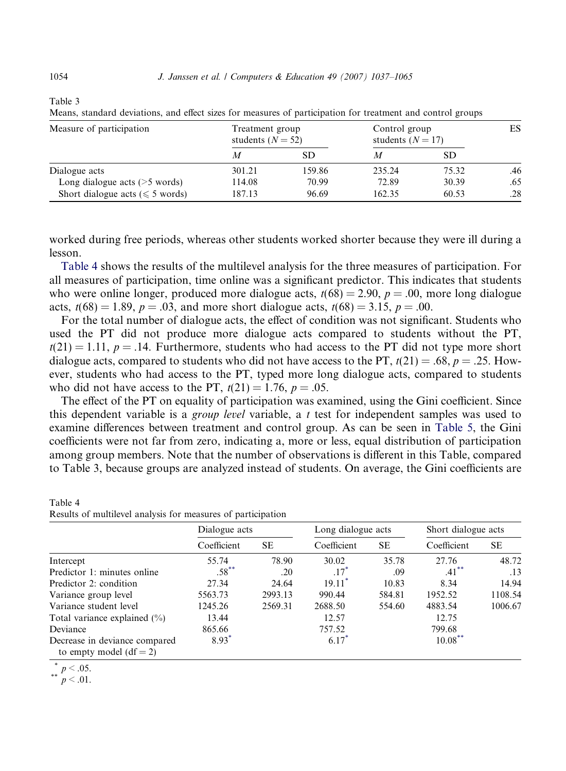<span id="page-17-0"></span>

Table 3

| Measure of participation              | Treatment group<br>students $(N = 52)$ |        | Control group<br>students $(N = 17)$ | ES        |     |
|---------------------------------------|----------------------------------------|--------|--------------------------------------|-----------|-----|
|                                       | M                                      | SD     | M                                    | <b>SD</b> |     |
| Dialogue acts                         | 301.21                                 | 159.86 | 235.24                               | 75.32     | .46 |
| Long dialogue acts $($ >5 words)      | 114.08                                 | 70.99  | 72.89                                | 30.39     | .65 |
| Short dialogue acts ( $\leq 5$ words) | 187.13                                 | 96.69  | 162.35                               | 60.53     | .28 |

Means, standard deviations, and effect sizes for measures of participation for treatment and control groups

worked during free periods, whereas other students worked shorter because they were ill during a lesson.

Table 4 shows the results of the multilevel analysis for the three measures of participation. For all measures of participation, time online was a significant predictor. This indicates that students who were online longer, produced more dialogue acts,  $t(68) = 2.90$ ,  $p = .00$ , more long dialogue acts,  $t(68) = 1.89$ ,  $p = .03$ , and more short dialogue acts,  $t(68) = 3.15$ ,  $p = .00$ .

For the total number of dialogue acts, the effect of condition was not significant. Students who used the PT did not produce more dialogue acts compared to students without the PT,  $t(21) = 1.11$ ,  $p = .14$ . Furthermore, students who had access to the PT did not type more short dialogue acts, compared to students who did not have access to the PT,  $t(21) = .68$ ,  $p = .25$ . However, students who had access to the PT, typed more long dialogue acts, compared to students who did not have access to the PT,  $t(21) = 1.76$ ,  $p = .05$ .

The effect of the PT on equality of participation was examined, using the Gini coefficient. Since this dependent variable is a *group level* variable, a  $t$  test for independent samples was used to examine differences between treatment and control group. As can be seen in [Table 5,](#page-18-0) the Gini coefficients were not far from zero, indicating a, more or less, equal distribution of participation among group members. Note that the number of observations is different in this Table, compared to Table 3, because groups are analyzed instead of students. On average, the Gini coefficients are

|                                                            | Dialogue acts |           | Long dialogue acts   |           | Short dialogue acts |           |  |
|------------------------------------------------------------|---------------|-----------|----------------------|-----------|---------------------|-----------|--|
|                                                            | Coefficient   | <b>SE</b> | Coefficient          | <b>SE</b> | Coefficient         | <b>SE</b> |  |
| Intercept                                                  | 55.74         | 78.90     | 30.02                | 35.78     | 27.76               | 48.72     |  |
| Predictor 1: minutes online                                | $.58***$      | .20       | .17'                 | .09       | $41***$             | .13       |  |
| Predictor 2: condition                                     | 27.34         | 24.64     | $19.11$ <sup>*</sup> | 10.83     | 8.34                | 14.94     |  |
| Variance group level                                       | 5563.73       | 2993.13   | 990.44               | 584.81    | 1952.52             | 1108.54   |  |
| Variance student level                                     | 1245.26       | 2569.31   | 2688.50              | 554.60    | 4883.54             | 1006.67   |  |
| Total variance explained $(\% )$                           | 13.44         |           | 12.57                |           | 12.75               |           |  |
| Deviance                                                   | 865.66        |           | 757.52               |           | 799.68              |           |  |
| Decrease in deviance compared<br>to empty model $(df = 2)$ | $8.93*$       |           | 6.17                 |           | $10.08***$          |           |  |

| Results of multilevel analysis for measures of participation |  |  |  |
|--------------------------------------------------------------|--|--|--|

Table 4

$$
^{**}p<.01.
$$

 $*$   $p < .05$ .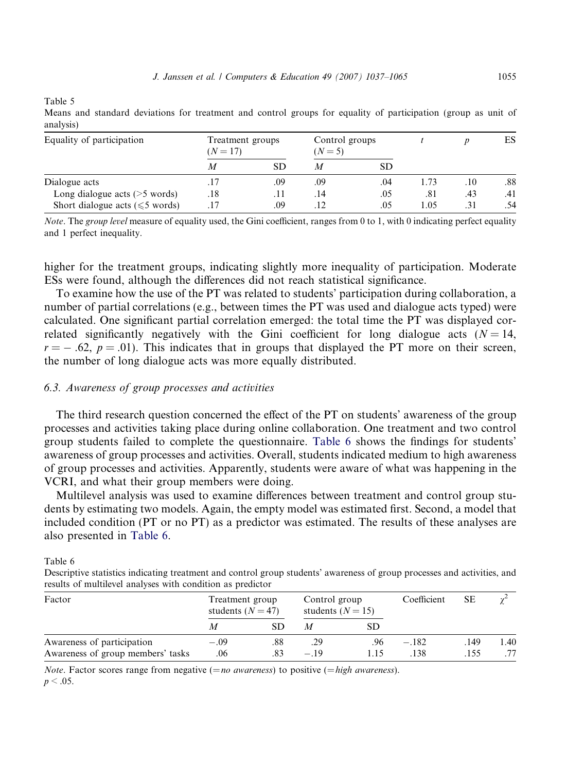<span id="page-18-0"></span>Table 5

Means and standard deviations for treatment and control groups for equality of participation (group as unit of analysis)

| Equality of participation             | Treatment groups<br>$(N = 17)$ |     | Control groups<br>$(N = 5)$ |     |      |     | ES  |
|---------------------------------------|--------------------------------|-----|-----------------------------|-----|------|-----|-----|
|                                       | M                              | SD  | M                           | SD  |      |     |     |
| Dialogue acts                         | .17                            | .09 | .09                         | .04 | 1.73 | .10 | .88 |
| Long dialogue acts $($ >5 words)      | .18                            | .11 | .14                         | .05 | .81  | .43 | .41 |
| Short dialogue acts ( $\leq 5$ words) |                                | .09 | .12                         | .05 | 1.05 | .31 | .54 |

Note. The group level measure of equality used, the Gini coefficient, ranges from 0 to 1, with 0 indicating perfect equality and 1 perfect inequality.

higher for the treatment groups, indicating slightly more inequality of participation. Moderate ESs were found, although the differences did not reach statistical significance.

To examine how the use of the PT was related to students' participation during collaboration, a number of partial correlations (e.g., between times the PT was used and dialogue acts typed) were calculated. One significant partial correlation emerged: the total time the PT was displayed correlated significantly negatively with the Gini coefficient for long dialogue acts ( $N = 14$ ,  $r = -0.62$ ,  $p = 0.01$ . This indicates that in groups that displayed the PT more on their screen, the number of long dialogue acts was more equally distributed.

## 6.3. Awareness of group processes and activities

The third research question concerned the effect of the PT on students' awareness of the group processes and activities taking place during online collaboration. One treatment and two control group students failed to complete the questionnaire. Table 6 shows the findings for students' awareness of group processes and activities. Overall, students indicated medium to high awareness of group processes and activities. Apparently, students were aware of what was happening in the VCRI, and what their group members were doing.

Multilevel analysis was used to examine differences between treatment and control group students by estimating two models. Again, the empty model was estimated first. Second, a model that included condition (PT or no PT) as a predictor was estimated. The results of these analyses are also presented in Table 6.

Table 6

Descriptive statistics indicating treatment and control group students' awareness of group processes and activities, and results of multilevel analyses with condition as predictor

| Factor                            | Treatment group<br>students $(N = 47)$ |     | Control group<br>students $(N = 15)$ |      | Coefficient | <b>SE</b> |     |
|-----------------------------------|----------------------------------------|-----|--------------------------------------|------|-------------|-----------|-----|
|                                   | M                                      |     | М                                    | SD   |             |           |     |
| Awareness of participation        | $-.09$                                 | .88 | .29                                  | .96  | $-.182$     | 149       | .40 |
| Awareness of group members' tasks | .06                                    |     | $-.19$                               | l 15 | 138         | 155       | .77 |

*Note.* Factor scores range from negative  $(=no \, awareness)$  to positive  $(=high \, awareness)$ .  $p < .05$ .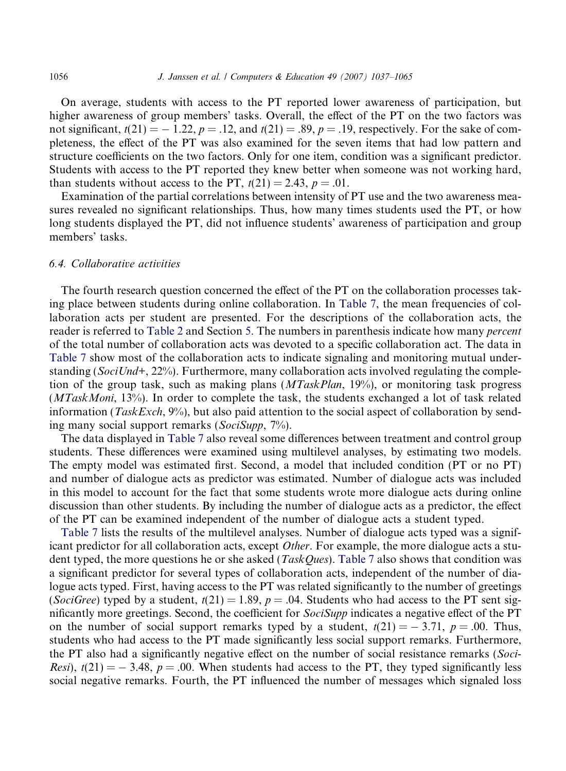On average, students with access to the PT reported lower awareness of participation, but higher awareness of group members' tasks. Overall, the effect of the PT on the two factors was not significant,  $t(21) = -1.22$ ,  $p = .12$ , and  $t(21) = .89$ ,  $p = .19$ , respectively. For the sake of completeness, the effect of the PT was also examined for the seven items that had low pattern and structure coefficients on the two factors. Only for one item, condition was a significant predictor. Students with access to the PT reported they knew better when someone was not working hard, than students without access to the PT,  $t(21) = 2.43$ ,  $p = .01$ .

Examination of the partial correlations between intensity of PT use and the two awareness measures revealed no significant relationships. Thus, how many times students used the PT, or how long students displayed the PT, did not influence students' awareness of participation and group members' tasks.

## 6.4. Collaborative activities

The fourth research question concerned the effect of the PT on the collaboration processes taking place between students during online collaboration. In [Table 7,](#page-20-0) the mean frequencies of collaboration acts per student are presented. For the descriptions of the collaboration acts, the reader is referred to [Table 2](#page-13-0) and Section [5](#page-6-0). The numbers in parenthesis indicate how many *percent* of the total number of collaboration acts was devoted to a specific collaboration act. The data in [Table 7](#page-20-0) show most of the collaboration acts to indicate signaling and monitoring mutual understanding ( $SociUnd+$ , 22%). Furthermore, many collaboration acts involved regulating the completion of the group task, such as making plans (MTaskPlan, 19%), or monitoring task progress  $(MTaskMoni, 13%)$ . In order to complete the task, the students exchanged a lot of task related information (*TaskExch*,  $9\%$ ), but also paid attention to the social aspect of collaboration by sending many social support remarks (SociSupp, 7%).

The data displayed in [Table 7](#page-20-0) also reveal some differences between treatment and control group students. These differences were examined using multilevel analyses, by estimating two models. The empty model was estimated first. Second, a model that included condition (PT or no PT) and number of dialogue acts as predictor was estimated. Number of dialogue acts was included in this model to account for the fact that some students wrote more dialogue acts during online discussion than other students. By including the number of dialogue acts as a predictor, the effect of the PT can be examined independent of the number of dialogue acts a student typed.

[Table 7](#page-20-0) lists the results of the multilevel analyses. Number of dialogue acts typed was a significant predictor for all collaboration acts, except *Other*. For example, the more dialogue acts a student typed, the more questions he or she asked ( $TaskOues$ ). [Table 7](#page-20-0) also shows that condition was a significant predictor for several types of collaboration acts, independent of the number of dialogue acts typed. First, having access to the PT was related significantly to the number of greetings (SociGree) typed by a student,  $t(21) = 1.89$ ,  $p = .04$ . Students who had access to the PT sent significantly more greetings. Second, the coefficient for *SociSupp* indicates a negative effect of the PT on the number of social support remarks typed by a student,  $t(21) = -3.71$ ,  $p = .00$ . Thus, students who had access to the PT made significantly less social support remarks. Furthermore, the PT also had a significantly negative effect on the number of social resistance remarks (Soci-*Resi*),  $t(21) = -3.48$ ,  $p = .00$ . When students had access to the PT, they typed significantly less social negative remarks. Fourth, the PT influenced the number of messages which signaled loss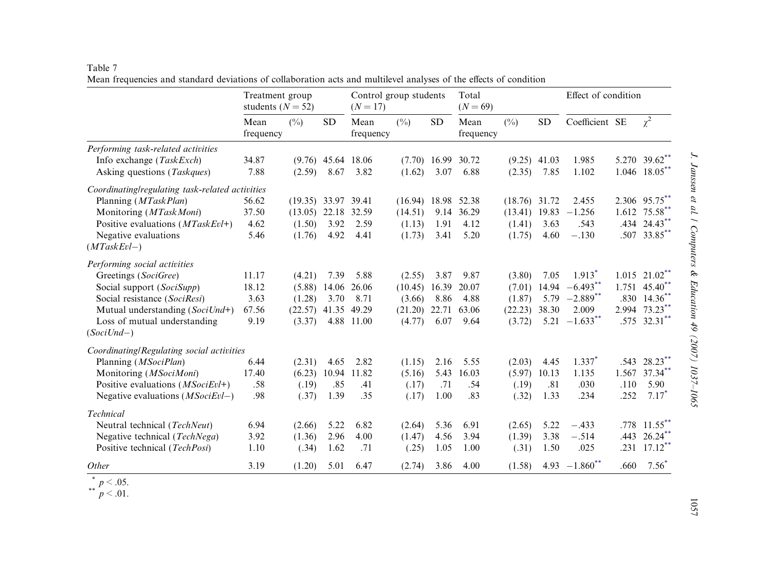|                                                 | Treatment group<br>students ( $N = 52$ ) |                       | Control group students<br>$(N = 17)$ |                   | Total<br>$(N = 69)$   |             |                   | Effect of condition |           |                       |       |                              |
|-------------------------------------------------|------------------------------------------|-----------------------|--------------------------------------|-------------------|-----------------------|-------------|-------------------|---------------------|-----------|-----------------------|-------|------------------------------|
|                                                 | Mean<br>frequency                        | $(\%)$                | <b>SD</b>                            | Mean<br>frequency | $(\%)$                | <b>SD</b>   | Mean<br>frequency | $(^{0}/_{0})$       | <b>SD</b> | Coefficient SE        |       | $\chi^2$                     |
| Performing task-related activities              |                                          |                       |                                      |                   |                       |             |                   |                     |           |                       |       |                              |
| Info exchange (TaskExch)                        | 34.87                                    |                       | $(9.76)$ 45.64 18.06                 |                   | (7.70)                | 16.99 30.72 |                   | $(9.25)$ 41.03      |           | 1.985                 |       | 5.270 39.62**                |
| Asking questions (Taskques)                     | 7.88                                     | (2.59)                | 8.67                                 | 3.82              | (1.62)                | 3.07        | 6.88              | (2.35)              | 7.85      | 1.102                 |       | $1.046$ $18.05$              |
| Coordinating/regulating task-related activities |                                          |                       |                                      |                   |                       |             |                   |                     |           |                       |       |                              |
| Planning (MTaskPlan)                            | 56.62                                    | $(19.35)$ 33.97 39.41 |                                      |                   | $(16.94)$ 18.98 52.38 |             |                   | $(18.76)$ 31.72     |           | 2.455                 |       | 2.306 95.75**                |
| Monitoring (MTaskMoni)                          | 37.50                                    | $(13.05)$ 22.18 32.59 |                                      |                   | (14.51)               |             | 9.14 36.29        | $(13.41)$ 19.83     |           | $-1.256$              |       | $1.612$ 75.58 <sup>**</sup>  |
| Positive evaluations $(MTaskEvl+)$              | 4.62                                     | (1.50)                | 3.92                                 | 2.59              | (1.13)                | 1.91        | 4.12              | (1.41)              | 3.63      | .543                  |       | $.434$ $24.43$ <sup>**</sup> |
| Negative evaluations                            | 5.46                                     | (1.76)                | 4.92                                 | 4.41              | (1.73)                | 3.41        | 5.20              | (1.75)              | 4.60      | $-.130$               |       | $.507$ 33.85 <sup>**</sup>   |
| $(MTaskEvl-)$                                   |                                          |                       |                                      |                   |                       |             |                   |                     |           |                       |       |                              |
| Performing social activities                    |                                          |                       |                                      |                   |                       |             |                   |                     |           |                       |       |                              |
| Greetings (SociGree)                            | 11.17                                    | (4.21)                | 7.39                                 | 5.88              | (2.55)                | 3.87        | 9.87              | (3.80)              | 7.05      | $1.913$ <sup>*</sup>  |       | $1.015$ 21.02 <sup>**</sup>  |
| Social support (SociSupp)                       | 18.12                                    | (5.88)                | 14.06                                | 26.06             | (10.45)               | 16.39       | 20.07             | (7.01)              | 14.94     | $-6.493$ <sup>*</sup> |       | $1.751$ 45.40 <sup>**</sup>  |
| Social resistance (SociResi)                    | 3.63                                     | (1.28)                | 3.70                                 | 8.71              | (3.66)                | 8.86        | 4.88              | (1.87)              | 5.79      | $-2.889**$            |       | $.830$ 14.36 <sup>**</sup>   |
| Mutual understanding (SociUnd+)                 | 67.56                                    | $(22.57)$ 41.35 49.29 |                                      |                   | (21.20)               | 22.71       | 63.06             | (22.23)             | 38.30     | 2.009                 |       | 2.994 73.23**                |
| Loss of mutual understanding                    | 9.19                                     | (3.37)                |                                      | 4.88 11.00        | (4.77)                | 6.07        | 9.64              | (3.72)              |           | 5.21 $-1.633$ **      |       | $.575$ 32.31**               |
| $(SociUnd-)$                                    |                                          |                       |                                      |                   |                       |             |                   |                     |           |                       |       |                              |
| Coordinating/Regulating social activities       |                                          |                       |                                      |                   |                       |             |                   |                     |           |                       |       |                              |
| Planning (MSociPlan)                            | 6.44                                     | (2.31)                | 4.65                                 | 2.82              | (1.15)                | 2.16        | 5.55              | (2.03)              | 4.45      | $1.337*$              |       | .543 28.23**                 |
| Monitoring (MSociMoni)                          | 17.40                                    | (6.23)                | 10.94                                | 11.82             | (5.16)                | 5.43        | 16.03             | (5.97)              | 10.13     | 1.135                 | 1.567 | $37.34$ **                   |
| Positive evaluations $(MSociEvl+)$              | .58                                      | (.19)                 | .85                                  | .41               | (.17)                 | .71         | .54               | (.19)               | .81       | .030                  | .110  | 5.90                         |
| Negative evaluations $(MSociEvl-)$              | .98                                      | (.37)                 | 1.39                                 | .35               | (.17)                 | 1.00        | .83               | (.32)               | 1.33      | .234                  | .252  | $7.17*$                      |
| Technical                                       |                                          |                       |                                      |                   |                       |             |                   |                     |           |                       |       |                              |
| Neutral technical (TechNeut)                    | 6.94                                     | (2.66)                | 5.22                                 | 6.82              | (2.64)                | 5.36        | 6.91              | (2.65)              | 5.22      | $-.433$               |       | .778 $11.55$ **              |
| Negative technical (TechNega)                   | 3.92                                     | (1.36)                | 2.96                                 | 4.00              | (1.47)                | 4.56        | 3.94              | (1.39)              | 3.38      | $-.514$               | .443  | $26.24$ <sup>**</sup>        |
| Positive technical (TechPosi)                   | 1.10                                     | (.34)                 | 1.62                                 | .71               | (.25)                 | 1.05        | 1.00              | (.31)               | 1.50      | .025                  | .231  | $17.12$ <sup>*</sup>         |
| Other                                           | 3.19                                     | (1.20)                | 5.01                                 | 6.47              | (2.74)                | 3.86        | 4.00              | (1.58)              |           | $4.93 -1.860$ **      | .660  | $7.56^*$                     |

#### <span id="page-20-0"></span>Table 7 Mean frequencies and standard deviations of collaboration acts and multilevel analyses of the effects of condition

$$
\begin{array}{c}\n * & p < .05, \\
* & p < .01.\n \end{array}
$$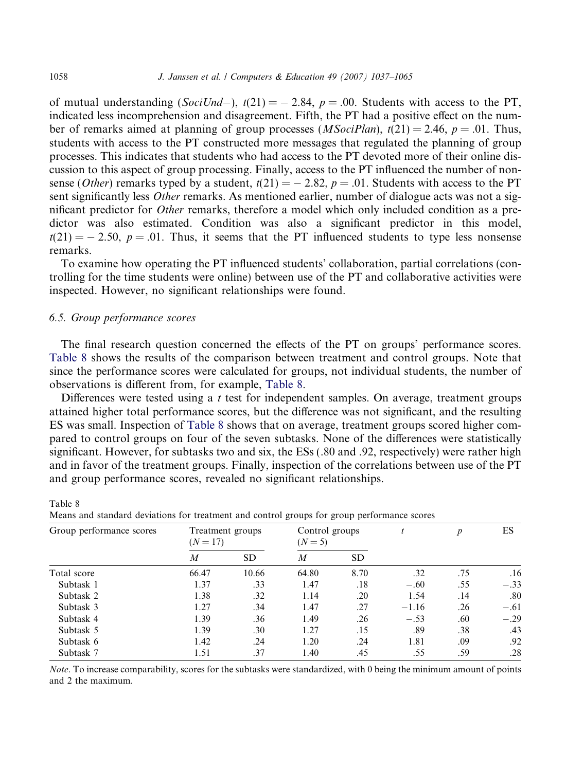of mutual understanding (SociUnd-),  $t(21) = -2.84$ ,  $p = .00$ . Students with access to the PT, indicated less incomprehension and disagreement. Fifth, the PT had a positive effect on the number of remarks aimed at planning of group processes (*MSociPlan*),  $t(21) = 2.46$ ,  $p = .01$ . Thus, students with access to the PT constructed more messages that regulated the planning of group processes. This indicates that students who had access to the PT devoted more of their online discussion to this aspect of group processing. Finally, access to the PT influenced the number of nonsense (*Other*) remarks typed by a student,  $t(21) = -2.82$ ,  $p = .01$ . Students with access to the PT sent significantly less *Other* remarks. As mentioned earlier, number of dialogue acts was not a significant predictor for *Other* remarks, therefore a model which only included condition as a predictor was also estimated. Condition was also a significant predictor in this model,  $t(21) = -2.50$ ,  $p = .01$ . Thus, it seems that the PT influenced students to type less nonsense remarks.

To examine how operating the PT influenced students' collaboration, partial correlations (controlling for the time students were online) between use of the PT and collaborative activities were inspected. However, no significant relationships were found.

## 6.5. Group performance scores

The final research question concerned the effects of the PT on groups' performance scores. Table 8 shows the results of the comparison between treatment and control groups. Note that since the performance scores were calculated for groups, not individual students, the number of observations is different from, for example, Table 8.

Differences were tested using a t test for independent samples. On average, treatment groups attained higher total performance scores, but the difference was not significant, and the resulting ES was small. Inspection of Table 8 shows that on average, treatment groups scored higher compared to control groups on four of the seven subtasks. None of the differences were statistically significant. However, for subtasks two and six, the ESs (.80 and .92, respectively) were rather high and in favor of the treatment groups. Finally, inspection of the correlations between use of the PT and group performance scores, revealed no significant relationships.

| Group performance scores | $(N = 17)$       | Treatment groups | Control groups<br>$(N = 5)$ |           |         | р   | ES     |  |  |
|--------------------------|------------------|------------------|-----------------------------|-----------|---------|-----|--------|--|--|
|                          | $\boldsymbol{M}$ | <b>SD</b>        | $\boldsymbol{M}$            | <b>SD</b> |         |     |        |  |  |
| Total score              | 66.47            | 10.66            | 64.80                       | 8.70      | .32     | .75 | .16    |  |  |
| Subtask 1                | 1.37             | .33              | 1.47                        | .18       | $-.60$  | .55 | $-.33$ |  |  |
| Subtask 2                | 1.38             | .32              | 1.14                        | .20       | 1.54    | .14 | .80    |  |  |
| Subtask 3                | 1.27             | .34              | 1.47                        | .27       | $-1.16$ | .26 | $-.61$ |  |  |
| Subtask 4                | 1.39             | .36              | 1.49                        | .26       | $-.53$  | .60 | $-.29$ |  |  |
| Subtask 5                | 1.39             | .30              | 1.27                        | .15       | .89     | .38 | .43    |  |  |
| Subtask 6                | 1.42             | .24              | 1.20                        | .24       | 1.81    | .09 | .92    |  |  |
| Subtask 7                | 1.51             | .37              | 1.40                        | .45       | .55     | .59 | .28    |  |  |

Table 8 Means and standard deviations for treatment and control groups for group performance scores

Note. To increase comparability, scores for the subtasks were standardized, with 0 being the minimum amount of points and 2 the maximum.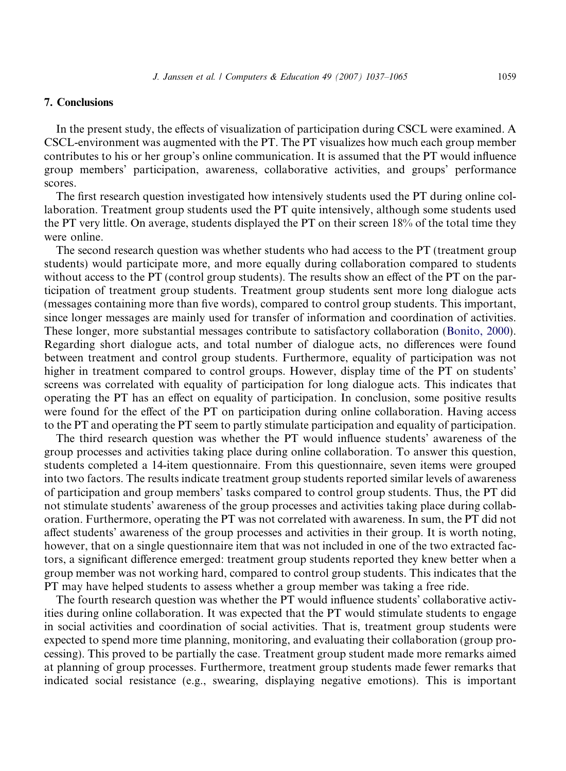# 7. Conclusions

In the present study, the effects of visualization of participation during CSCL were examined. A CSCL-environment was augmented with the PT. The PT visualizes how much each group member contributes to his or her group's online communication. It is assumed that the PT would influence group members' participation, awareness, collaborative activities, and groups' performance scores.

The first research question investigated how intensively students used the PT during online collaboration. Treatment group students used the PT quite intensively, although some students used the PT very little. On average, students displayed the PT on their screen 18% of the total time they were online.

The second research question was whether students who had access to the PT (treatment group students) would participate more, and more equally during collaboration compared to students without access to the PT (control group students). The results show an effect of the PT on the participation of treatment group students. Treatment group students sent more long dialogue acts (messages containing more than five words), compared to control group students. This important, since longer messages are mainly used for transfer of information and coordination of activities. These longer, more substantial messages contribute to satisfactory collaboration ([Bonito, 2000](#page-25-0)). Regarding short dialogue acts, and total number of dialogue acts, no differences were found between treatment and control group students. Furthermore, equality of participation was not higher in treatment compared to control groups. However, display time of the PT on students' screens was correlated with equality of participation for long dialogue acts. This indicates that operating the PT has an effect on equality of participation. In conclusion, some positive results were found for the effect of the PT on participation during online collaboration. Having access to the PT and operating the PT seem to partly stimulate participation and equality of participation.

The third research question was whether the PT would influence students' awareness of the group processes and activities taking place during online collaboration. To answer this question, students completed a 14-item questionnaire. From this questionnaire, seven items were grouped into two factors. The results indicate treatment group students reported similar levels of awareness of participation and group members' tasks compared to control group students. Thus, the PT did not stimulate students' awareness of the group processes and activities taking place during collaboration. Furthermore, operating the PT was not correlated with awareness. In sum, the PT did not affect students' awareness of the group processes and activities in their group. It is worth noting, however, that on a single questionnaire item that was not included in one of the two extracted factors, a significant difference emerged: treatment group students reported they knew better when a group member was not working hard, compared to control group students. This indicates that the PT may have helped students to assess whether a group member was taking a free ride.

The fourth research question was whether the PT would influence students' collaborative activities during online collaboration. It was expected that the PT would stimulate students to engage in social activities and coordination of social activities. That is, treatment group students were expected to spend more time planning, monitoring, and evaluating their collaboration (group processing). This proved to be partially the case. Treatment group student made more remarks aimed at planning of group processes. Furthermore, treatment group students made fewer remarks that indicated social resistance (e.g., swearing, displaying negative emotions). This is important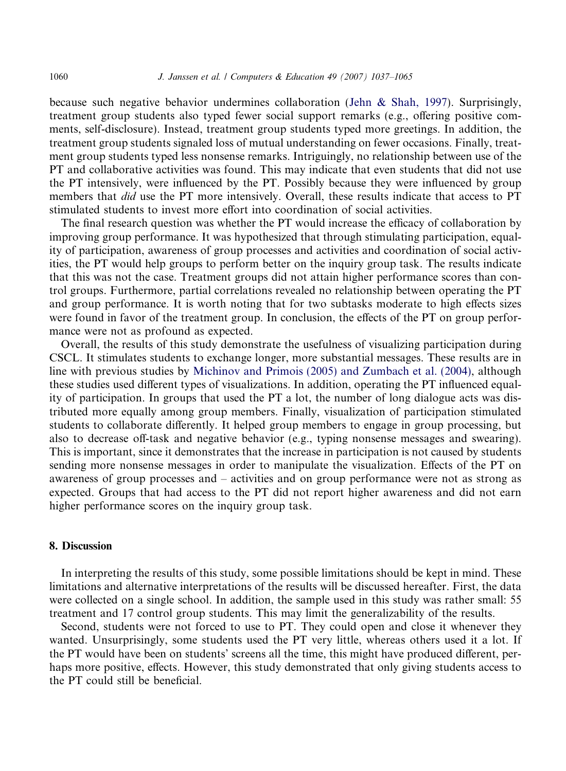because such negative behavior undermines collaboration [\(Jehn & Shah, 1997](#page-26-0)). Surprisingly, treatment group students also typed fewer social support remarks (e.g., offering positive comments, self-disclosure). Instead, treatment group students typed more greetings. In addition, the treatment group students signaled loss of mutual understanding on fewer occasions. Finally, treatment group students typed less nonsense remarks. Intriguingly, no relationship between use of the PT and collaborative activities was found. This may indicate that even students that did not use the PT intensively, were influenced by the PT. Possibly because they were influenced by group members that *did* use the PT more intensively. Overall, these results indicate that access to PT stimulated students to invest more effort into coordination of social activities.

The final research question was whether the PT would increase the efficacy of collaboration by improving group performance. It was hypothesized that through stimulating participation, equality of participation, awareness of group processes and activities and coordination of social activities, the PT would help groups to perform better on the inquiry group task. The results indicate that this was not the case. Treatment groups did not attain higher performance scores than control groups. Furthermore, partial correlations revealed no relationship between operating the PT and group performance. It is worth noting that for two subtasks moderate to high effects sizes were found in favor of the treatment group. In conclusion, the effects of the PT on group performance were not as profound as expected.

Overall, the results of this study demonstrate the usefulness of visualizing participation during CSCL. It stimulates students to exchange longer, more substantial messages. These results are in line with previous studies by [Michinov and Primois \(2005\) and Zumbach et al. \(2004\)](#page-27-0), although these studies used different types of visualizations. In addition, operating the PT influenced equality of participation. In groups that used the PT a lot, the number of long dialogue acts was distributed more equally among group members. Finally, visualization of participation stimulated students to collaborate differently. It helped group members to engage in group processing, but also to decrease off-task and negative behavior (e.g., typing nonsense messages and swearing). This is important, since it demonstrates that the increase in participation is not caused by students sending more nonsense messages in order to manipulate the visualization. Effects of the PT on awareness of group processes and – activities and on group performance were not as strong as expected. Groups that had access to the PT did not report higher awareness and did not earn higher performance scores on the inquiry group task.

## 8. Discussion

In interpreting the results of this study, some possible limitations should be kept in mind. These limitations and alternative interpretations of the results will be discussed hereafter. First, the data were collected on a single school. In addition, the sample used in this study was rather small: 55 treatment and 17 control group students. This may limit the generalizability of the results.

Second, students were not forced to use to PT. They could open and close it whenever they wanted. Unsurprisingly, some students used the PT very little, whereas others used it a lot. If the PT would have been on students' screens all the time, this might have produced different, perhaps more positive, effects. However, this study demonstrated that only giving students access to the PT could still be beneficial.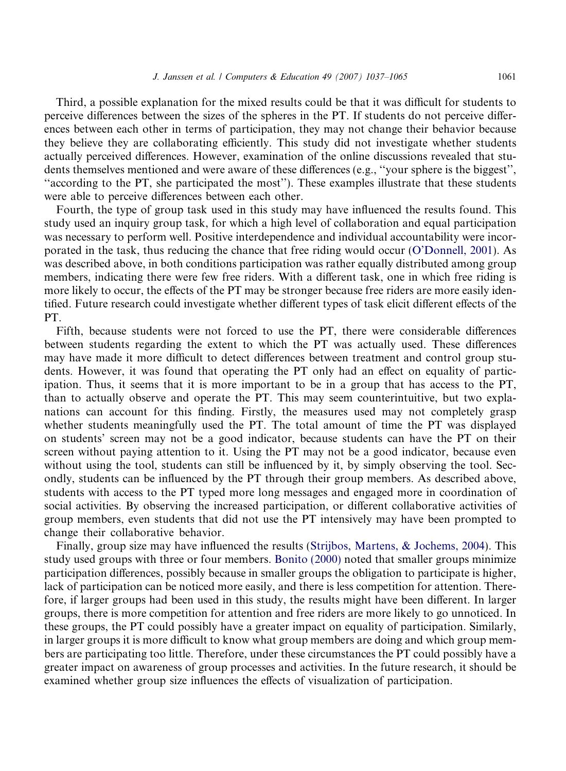Third, a possible explanation for the mixed results could be that it was difficult for students to perceive differences between the sizes of the spheres in the PT. If students do not perceive differences between each other in terms of participation, they may not change their behavior because they believe they are collaborating efficiently. This study did not investigate whether students actually perceived differences. However, examination of the online discussions revealed that students themselves mentioned and were aware of these differences (e.g., ''your sphere is the biggest'', ''according to the PT, she participated the most''). These examples illustrate that these students were able to perceive differences between each other.

Fourth, the type of group task used in this study may have influenced the results found. This study used an inquiry group task, for which a high level of collaboration and equal participation was necessary to perform well. Positive interdependence and individual accountability were incorporated in the task, thus reducing the chance that free riding would occur ([O'Donnell, 2001](#page-27-0)). As was described above, in both conditions participation was rather equally distributed among group members, indicating there were few free riders. With a different task, one in which free riding is more likely to occur, the effects of the PT may be stronger because free riders are more easily identified. Future research could investigate whether different types of task elicit different effects of the PT.

Fifth, because students were not forced to use the PT, there were considerable differences between students regarding the extent to which the PT was actually used. These differences may have made it more difficult to detect differences between treatment and control group students. However, it was found that operating the PT only had an effect on equality of participation. Thus, it seems that it is more important to be in a group that has access to the PT, than to actually observe and operate the PT. This may seem counterintuitive, but two explanations can account for this finding. Firstly, the measures used may not completely grasp whether students meaningfully used the PT. The total amount of time the PT was displayed on students' screen may not be a good indicator, because students can have the PT on their screen without paying attention to it. Using the PT may not be a good indicator, because even without using the tool, students can still be influenced by it, by simply observing the tool. Secondly, students can be influenced by the PT through their group members. As described above, students with access to the PT typed more long messages and engaged more in coordination of social activities. By observing the increased participation, or different collaborative activities of group members, even students that did not use the PT intensively may have been prompted to change their collaborative behavior.

Finally, group size may have influenced the results ([Strijbos, Martens, & Jochems, 2004](#page-27-0)). This study used groups with three or four members. [Bonito \(2000\)](#page-25-0) noted that smaller groups minimize participation differences, possibly because in smaller groups the obligation to participate is higher, lack of participation can be noticed more easily, and there is less competition for attention. Therefore, if larger groups had been used in this study, the results might have been different. In larger groups, there is more competition for attention and free riders are more likely to go unnoticed. In these groups, the PT could possibly have a greater impact on equality of participation. Similarly, in larger groups it is more difficult to know what group members are doing and which group members are participating too little. Therefore, under these circumstances the PT could possibly have a greater impact on awareness of group processes and activities. In the future research, it should be examined whether group size influences the effects of visualization of participation.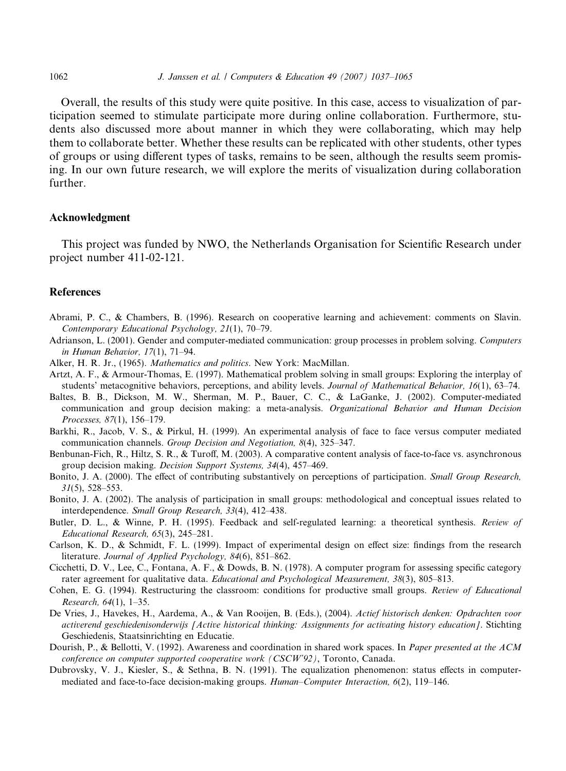<span id="page-25-0"></span>Overall, the results of this study were quite positive. In this case, access to visualization of participation seemed to stimulate participate more during online collaboration. Furthermore, students also discussed more about manner in which they were collaborating, which may help them to collaborate better. Whether these results can be replicated with other students, other types of groups or using different types of tasks, remains to be seen, although the results seem promising. In our own future research, we will explore the merits of visualization during collaboration further.

#### Acknowledgment

This project was funded by NWO, the Netherlands Organisation for Scientific Research under project number 411-02-121.

## **References**

- Abrami, P. C., & Chambers, B. (1996). Research on cooperative learning and achievement: comments on Slavin. Contemporary Educational Psychology, 21(1), 70–79.
- Adrianson, L. (2001). Gender and computer-mediated communication: group processes in problem solving. Computers in Human Behavior, 17(1), 71–94.
- Alker, H. R. Jr., (1965). Mathematics and politics. New York: MacMillan.
- Artzt, A. F., & Armour-Thomas, E. (1997). Mathematical problem solving in small groups: Exploring the interplay of students' metacognitive behaviors, perceptions, and ability levels. Journal of Mathematical Behavior, 16(1), 63–74.
- Baltes, B. B., Dickson, M. W., Sherman, M. P., Bauer, C. C., & LaGanke, J. (2002). Computer-mediated communication and group decision making: a meta-analysis. Organizational Behavior and Human Decision Processes, 87(1), 156–179.
- Barkhi, R., Jacob, V. S., & Pirkul, H. (1999). An experimental analysis of face to face versus computer mediated communication channels. Group Decision and Negotiation, 8(4), 325–347.
- Benbunan-Fich, R., Hiltz, S. R., & Turoff, M. (2003). A comparative content analysis of face-to-face vs. asynchronous group decision making. Decision Support Systems, 34(4), 457–469.
- Bonito, J. A. (2000). The effect of contributing substantively on perceptions of participation. Small Group Research, 31(5), 528–553.
- Bonito, J. A. (2002). The analysis of participation in small groups: methodological and conceptual issues related to interdependence. Small Group Research, 33(4), 412–438.
- Butler, D. L., & Winne, P. H. (1995). Feedback and self-regulated learning: a theoretical synthesis. Review of Educational Research, 65(3), 245–281.
- Carlson, K. D., & Schmidt, F. L. (1999). Impact of experimental design on effect size: findings from the research literature. Journal of Applied Psychology, 84(6), 851–862.
- Cicchetti, D. V., Lee, C., Fontana, A. F., & Dowds, B. N. (1978). A computer program for assessing specific category rater agreement for qualitative data. *Educational and Psychological Measurement*, 38(3), 805–813.
- Cohen, E. G. (1994). Restructuring the classroom: conditions for productive small groups. Review of Educational Research, 64(1), 1–35.
- De Vries, J., Havekes, H., Aardema, A., & Van Rooijen, B. (Eds.), (2004). Actief historisch denken: Opdrachten voor activerend geschiedenisonderwijs [Active historical thinking: Assignments for activating history education]. Stichting Geschiedenis, Staatsinrichting en Educatie.
- Dourish, P., & Bellotti, V. (1992). Awareness and coordination in shared work spaces. In Paper presented at the ACM conference on computer supported cooperative work (CSCW'92), Toronto, Canada.
- Dubrovsky, V. J., Kiesler, S., & Sethna, B. N. (1991). The equalization phenomenon: status effects in computermediated and face-to-face decision-making groups. Human–Computer Interaction, 6(2), 119–146.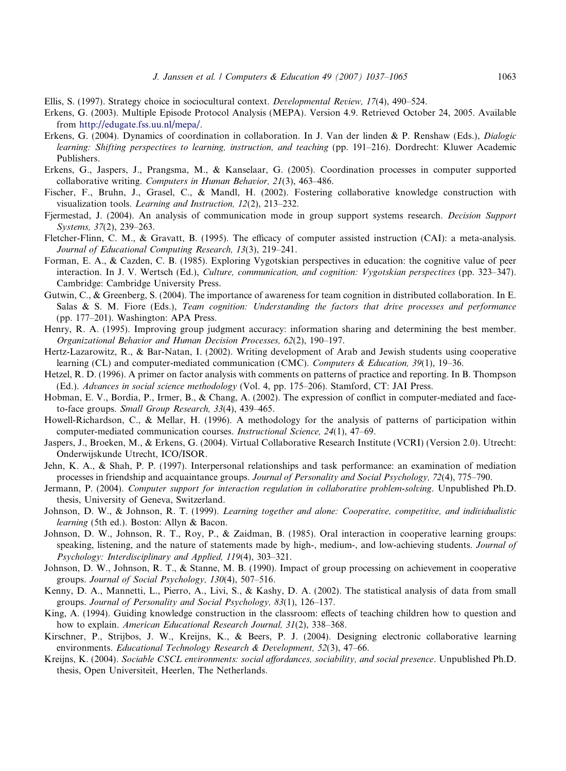- <span id="page-26-0"></span>Ellis, S. (1997). Strategy choice in sociocultural context. Developmental Review, 17(4), 490–524.
- Erkens, G. (2003). Multiple Episode Protocol Analysis (MEPA). Version 4.9. Retrieved October 24, 2005. Available from <http://edugate.fss.uu.nl/mepa/>.
- Erkens, G. (2004). Dynamics of coordination in collaboration. In J. Van der linden & P. Renshaw (Eds.), *Dialogic* learning: Shifting perspectives to learning, instruction, and teaching (pp. 191–216). Dordrecht: Kluwer Academic Publishers.
- Erkens, G., Jaspers, J., Prangsma, M., & Kanselaar, G. (2005). Coordination processes in computer supported collaborative writing. Computers in Human Behavior, 21(3), 463–486.
- Fischer, F., Bruhn, J., Grasel, C., & Mandl, H. (2002). Fostering collaborative knowledge construction with visualization tools. Learning and Instruction, 12(2), 213–232.
- Fjermestad, J. (2004). An analysis of communication mode in group support systems research. Decision Support Systems, 37(2), 239–263.
- Fletcher-Flinn, C. M., & Gravatt, B. (1995). The efficacy of computer assisted instruction (CAI): a meta-analysis. Journal of Educational Computing Research, 13(3), 219–241.
- Forman, E. A., & Cazden, C. B. (1985). Exploring Vygotskian perspectives in education: the cognitive value of peer interaction. In J. V. Wertsch (Ed.), Culture, communication, and cognition: Vygotskian perspectives (pp. 323–347). Cambridge: Cambridge University Press.
- Gutwin, C., & Greenberg, S. (2004). The importance of awareness for team cognition in distributed collaboration. In E. Salas & S. M. Fiore (Eds.), Team cognition: Understanding the factors that drive processes and performance (pp. 177–201). Washington: APA Press.
- Henry, R. A. (1995). Improving group judgment accuracy: information sharing and determining the best member. Organizational Behavior and Human Decision Processes, 62(2), 190–197.
- Hertz-Lazarowitz, R., & Bar-Natan, I. (2002). Writing development of Arab and Jewish students using cooperative learning (CL) and computer-mediated communication (CMC). Computers & Education, 39(1), 19–36.
- Hetzel, R. D. (1996). A primer on factor analysis with comments on patterns of practice and reporting. In B. Thompson (Ed.). Advances in social science methodology (Vol. 4, pp. 175–206). Stamford, CT: JAI Press.
- Hobman, E. V., Bordia, P., Irmer, B., & Chang, A. (2002). The expression of conflict in computer-mediated and faceto-face groups. Small Group Research, 33(4), 439–465.
- Howell-Richardson, C., & Mellar, H. (1996). A methodology for the analysis of patterns of participation within computer-mediated communication courses. Instructional Science, 24(1), 47–69.
- Jaspers, J., Broeken, M., & Erkens, G. (2004). Virtual Collaborative Research Institute (VCRI) (Version 2.0). Utrecht: Onderwijskunde Utrecht, ICO/ISOR.
- Jehn, K. A., & Shah, P. P. (1997). Interpersonal relationships and task performance: an examination of mediation processes in friendship and acquaintance groups. Journal of Personality and Social Psychology, 72(4), 775–790.
- Jermann, P. (2004). Computer support for interaction regulation in collaborative problem-solving. Unpublished Ph.D. thesis, University of Geneva, Switzerland.
- Johnson, D. W., & Johnson, R. T. (1999). Learning together and alone: Cooperative, competitive, and individualistic learning (5th ed.). Boston: Allyn & Bacon.
- Johnson, D. W., Johnson, R. T., Roy, P., & Zaidman, B. (1985). Oral interaction in cooperative learning groups: speaking, listening, and the nature of statements made by high-, medium-, and low-achieving students. Journal of Psychology: Interdisciplinary and Applied, 119(4), 303–321.
- Johnson, D. W., Johnson, R. T., & Stanne, M. B. (1990). Impact of group processing on achievement in cooperative groups. Journal of Social Psychology, 130(4), 507–516.
- Kenny, D. A., Mannetti, L., Pierro, A., Livi, S., & Kashy, D. A. (2002). The statistical analysis of data from small groups. Journal of Personality and Social Psychology, 83(1), 126–137.
- King, A. (1994). Guiding knowledge construction in the classroom: effects of teaching children how to question and how to explain. American Educational Research Journal, 31(2), 338–368.
- Kirschner, P., Strijbos, J. W., Kreijns, K., & Beers, P. J. (2004). Designing electronic collaborative learning environments. Educational Technology Research & Development, 52(3), 47–66.
- Kreijns, K. (2004). Sociable CSCL environments: social affordances, sociability, and social presence. Unpublished Ph.D. thesis, Open Universiteit, Heerlen, The Netherlands.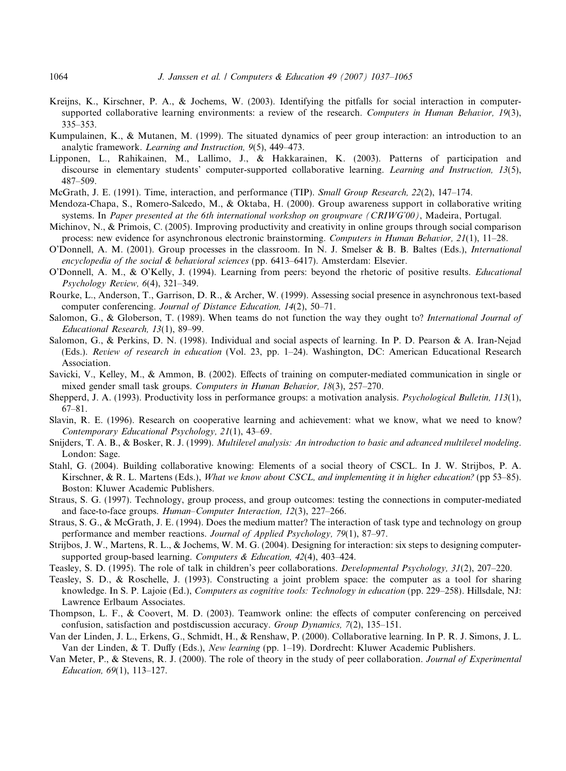- <span id="page-27-0"></span>Kreijns, K., Kirschner, P. A., & Jochems, W. (2003). Identifying the pitfalls for social interaction in computersupported collaborative learning environments: a review of the research. Computers in Human Behavior, 19(3), 335–353.
- Kumpulainen, K., & Mutanen, M. (1999). The situated dynamics of peer group interaction: an introduction to an analytic framework. Learning and Instruction, 9(5), 449–473.
- Lipponen, L., Rahikainen, M., Lallimo, J., & Hakkarainen, K. (2003). Patterns of participation and discourse in elementary students' computer-supported collaborative learning. Learning and Instruction, 13(5), 487–509.
- McGrath, J. E. (1991). Time, interaction, and performance (TIP). Small Group Research, 22(2), 147–174.
- Mendoza-Chapa, S., Romero-Salcedo, M., & Oktaba, H. (2000). Group awareness support in collaborative writing systems. In Paper presented at the 6th international workshop on groupware (CRIWG'00), Madeira, Portugal.
- Michinov, N., & Primois, C. (2005). Improving productivity and creativity in online groups through social comparison process: new evidence for asynchronous electronic brainstorming. Computers in Human Behavior, 21(1), 11–28.
- O'Donnell, A. M. (2001). Group processes in the classroom. In N. J. Smelser & B. B. Baltes (Eds.), International encyclopedia of the social & behavioral sciences (pp. 6413–6417). Amsterdam: Elsevier.
- O'Donnell, A. M., & O'Kelly, J. (1994). Learning from peers: beyond the rhetoric of positive results. Educational Psychology Review, 6(4), 321–349.
- Rourke, L., Anderson, T., Garrison, D. R., & Archer, W. (1999). Assessing social presence in asynchronous text-based computer conferencing. Journal of Distance Education, 14(2), 50–71.
- Salomon, G., & Globerson, T. (1989). When teams do not function the way they ought to? International Journal of Educational Research, 13(1), 89–99.
- Salomon, G., & Perkins, D. N. (1998). Individual and social aspects of learning. In P. D. Pearson & A. Iran-Nejad (Eds.). Review of research in education (Vol. 23, pp. 1–24). Washington, DC: American Educational Research Association.
- Savicki, V., Kelley, M., & Ammon, B. (2002). Effects of training on computer-mediated communication in single or mixed gender small task groups. Computers in Human Behavior, 18(3), 257–270.
- Shepperd, J. A. (1993). Productivity loss in performance groups: a motivation analysis. Psychological Bulletin, 113(1), 67–81.
- Slavin, R. E. (1996). Research on cooperative learning and achievement: what we know, what we need to know? Contemporary Educational Psychology, 21(1), 43–69.
- Snijders, T. A. B., & Bosker, R. J. (1999). Multilevel analysis: An introduction to basic and advanced multilevel modeling. London: Sage.
- Stahl, G. (2004). Building collaborative knowing: Elements of a social theory of CSCL. In J. W. Strijbos, P. A. Kirschner, & R. L. Martens (Eds.), What we know about CSCL, and implementing it in higher education? (pp 53–85). Boston: Kluwer Academic Publishers.
- Straus, S. G. (1997). Technology, group process, and group outcomes: testing the connections in computer-mediated and face-to-face groups. Human–Computer Interaction, 12(3), 227–266.
- Straus, S. G., & McGrath, J. E. (1994). Does the medium matter? The interaction of task type and technology on group performance and member reactions. Journal of Applied Psychology, 79(1), 87–97.
- Strijbos, J. W., Martens, R. L., & Jochems, W. M. G. (2004). Designing for interaction: six steps to designing computersupported group-based learning. Computers & Education, 42(4), 403–424.
- Teasley, S. D. (1995). The role of talk in children's peer collaborations. Developmental Psychology, 31(2), 207–220.
- Teasley, S. D., & Roschelle, J. (1993). Constructing a joint problem space: the computer as a tool for sharing knowledge. In S. P. Lajoie (Ed.), Computers as cognitive tools: Technology in education (pp. 229–258). Hillsdale, NJ: Lawrence Erlbaum Associates.
- Thompson, L. F., & Coovert, M. D. (2003). Teamwork online: the effects of computer conferencing on perceived confusion, satisfaction and postdiscussion accuracy. Group Dynamics, 7(2), 135–151.
- Van der Linden, J. L., Erkens, G., Schmidt, H., & Renshaw, P. (2000). Collaborative learning. In P. R. J. Simons, J. L. Van der Linden, & T. Duffy (Eds.), New learning (pp. 1–19). Dordrecht: Kluwer Academic Publishers.
- Van Meter, P., & Stevens, R. J. (2000). The role of theory in the study of peer collaboration. Journal of Experimental Education, 69(1), 113–127.